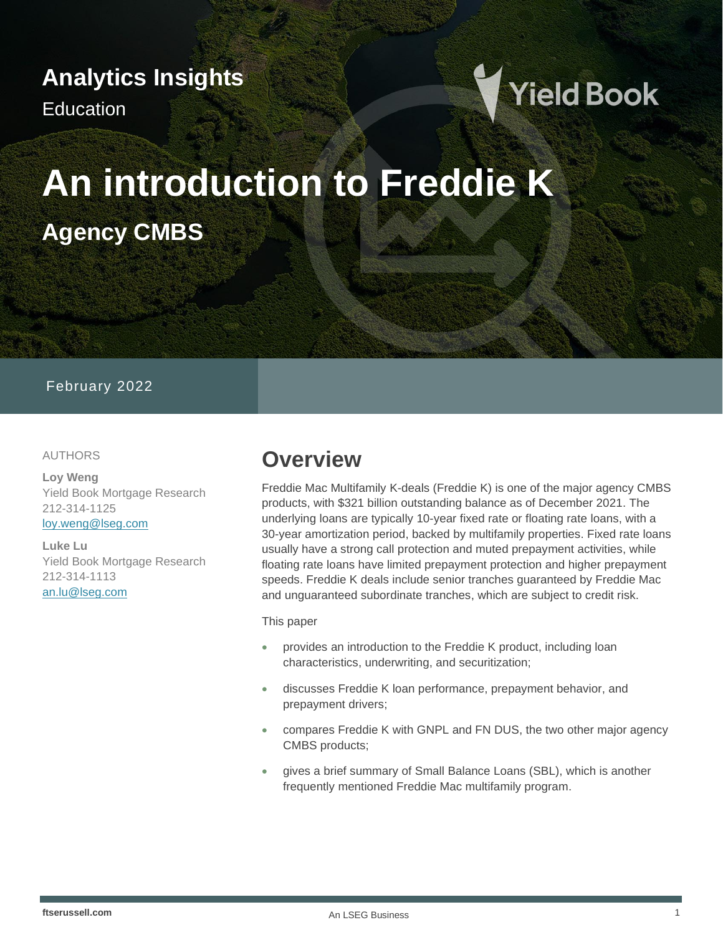## **Analytics Insights**

Education



# **An introduction to Freddie K Agency CMBS**

#### February 2022

#### AUTHORS

**Loy Weng** Yield Book Mortgage Research 212-314-1125 [loy.weng@lseg.com](mailto:loy.weng@lseg.com)

**Luke Lu** Yield Book Mortgage Research 212-314-1113 [an.lu@lseg.com](mailto:an.lu@lseg.com)

### **Overview**

Freddie Mac Multifamily K-deals (Freddie K) is one of the major agency CMBS products, with \$321 billion outstanding balance as of December 2021. The underlying loans are typically 10-year fixed rate or floating rate loans, with a 30-year amortization period, backed by multifamily properties. Fixed rate loans usually have a strong call protection and muted prepayment activities, while floating rate loans have limited prepayment protection and higher prepayment speeds. Freddie K deals include senior tranches guaranteed by Freddie Mac and unguaranteed subordinate tranches, which are subject to credit risk.

#### This paper

- provides an introduction to the Freddie K product, including loan characteristics, underwriting, and securitization;
- discusses Freddie K loan performance, prepayment behavior, and prepayment drivers;
- compares Freddie K with GNPL and FN DUS, the two other major agency CMBS products;
- gives a brief summary of Small Balance Loans (SBL), which is another frequently mentioned Freddie Mac multifamily program.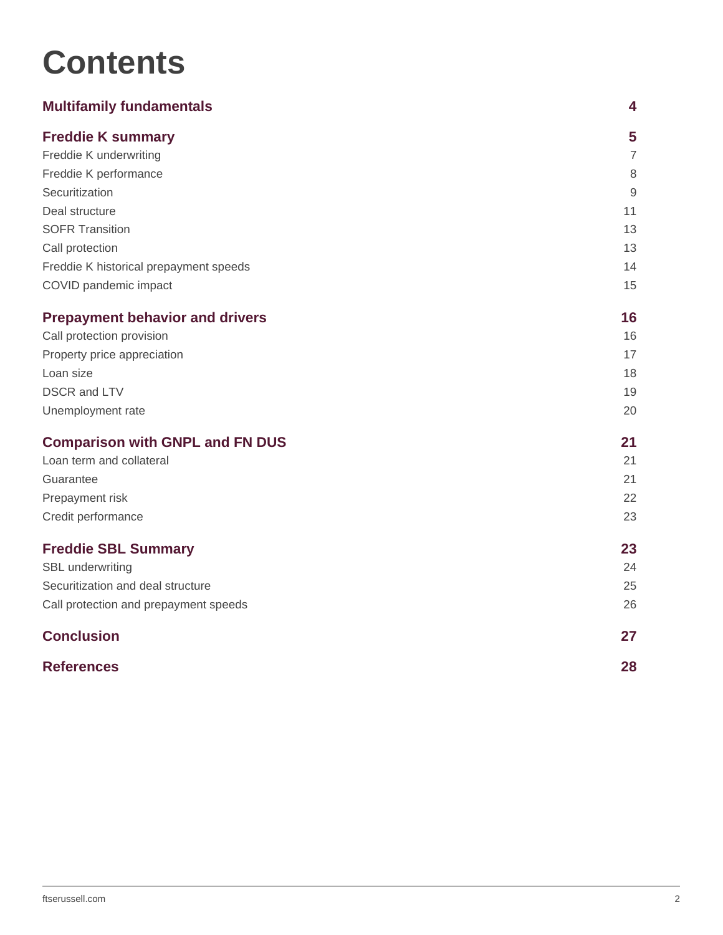## **Contents**

| <b>Multifamily fundamentals</b>        | 4              |
|----------------------------------------|----------------|
| <b>Freddie K summary</b>               | 5              |
| Freddie K underwriting                 | $\overline{7}$ |
| Freddie K performance                  | $\,8\,$        |
| Securitization                         | $\overline{9}$ |
| Deal structure                         | 11             |
| <b>SOFR Transition</b>                 | 13             |
| Call protection                        | 13             |
| Freddie K historical prepayment speeds | 14             |
| COVID pandemic impact                  | 15             |
| <b>Prepayment behavior and drivers</b> | 16             |
| Call protection provision              | 16             |
| Property price appreciation            | 17             |
| Loan size                              | 18             |
| <b>DSCR and LTV</b>                    | 19             |
| Unemployment rate                      | 20             |
| <b>Comparison with GNPL and FN DUS</b> | 21             |
| Loan term and collateral               | 21             |
| Guarantee                              | 21             |
| Prepayment risk                        | 22             |
| Credit performance                     | 23             |
| <b>Freddie SBL Summary</b>             | 23             |
| SBL underwriting                       | 24             |
| Securitization and deal structure      | 25             |
| Call protection and prepayment speeds  | 26             |
| <b>Conclusion</b>                      | 27             |
| <b>References</b>                      | 28             |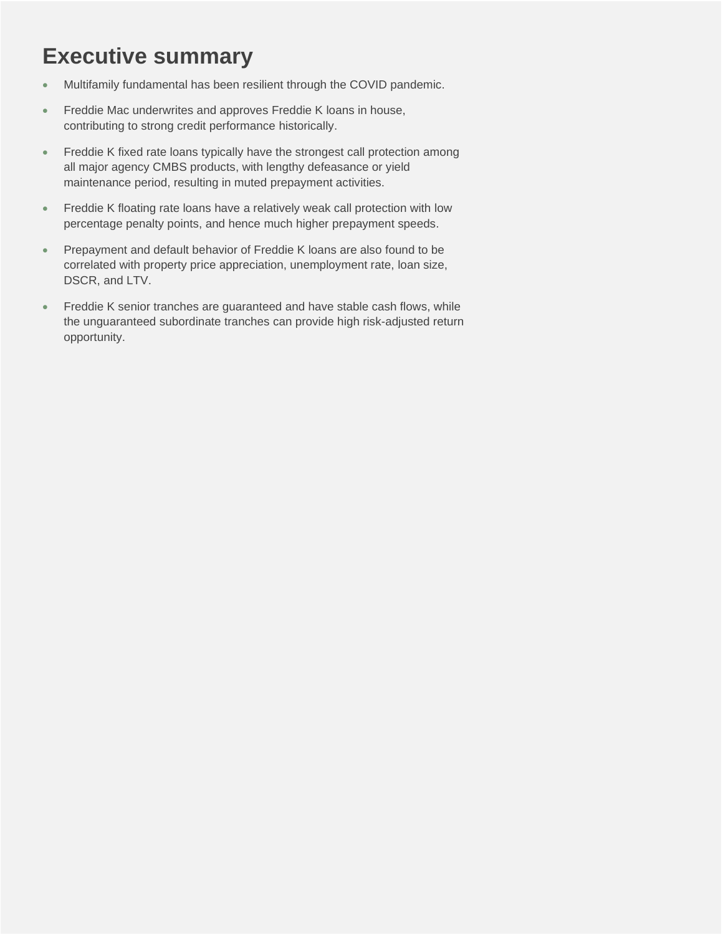## **Executive summary**

- Multifamily fundamental has been resilient through the COVID pandemic.
- Freddie Mac underwrites and approves Freddie K loans in house, contributing to strong credit performance historically.
- Freddie K fixed rate loans typically have the strongest call protection among all major agency CMBS products, with lengthy defeasance or yield maintenance period, resulting in muted prepayment activities.
- Freddie K floating rate loans have a relatively weak call protection with low percentage penalty points, and hence much higher prepayment speeds.
- Prepayment and default behavior of Freddie K loans are also found to be correlated with property price appreciation, unemployment rate, loan size, DSCR, and LTV.
- Freddie K senior tranches are guaranteed and have stable cash flows, while the unguaranteed subordinate tranches can provide high risk-adjusted return opportunity.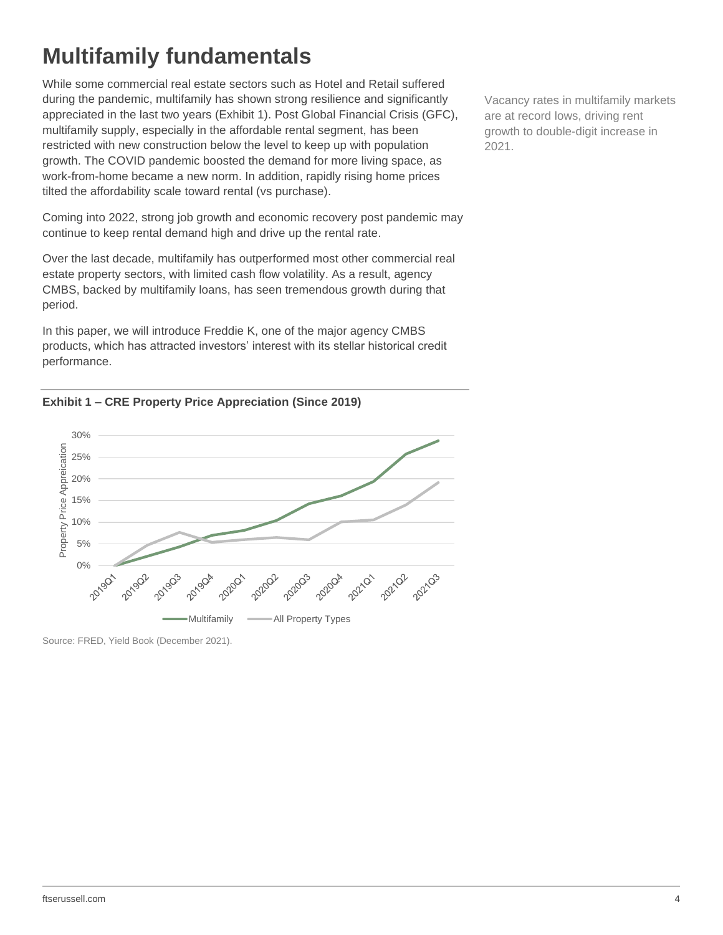## <span id="page-3-0"></span>**Multifamily fundamentals**

While some commercial real estate sectors such as Hotel and Retail suffered during the pandemic, multifamily has shown strong resilience and significantly appreciated in the last two years (Exhibit 1). Post Global Financial Crisis (GFC), multifamily supply, especially in the affordable rental segment, has been restricted with new construction below the level to keep up with population growth. The COVID pandemic boosted the demand for more living space, as work-from-home became a new norm. In addition, rapidly rising home prices tilted the affordability scale toward rental (vs purchase).

Coming into 2022, strong job growth and economic recovery post pandemic may continue to keep rental demand high and drive up the rental rate.

Over the last decade, multifamily has outperformed most other commercial real estate property sectors, with limited cash flow volatility. As a result, agency CMBS, backed by multifamily loans, has seen tremendous growth during that period.

In this paper, we will introduce Freddie K, one of the major agency CMBS products, which has attracted investors' interest with its stellar historical credit performance.





Source: FRED, Yield Book (December 2021).

Vacancy rates in multifamily markets are at record lows, driving rent growth to double-digit increase in 2021.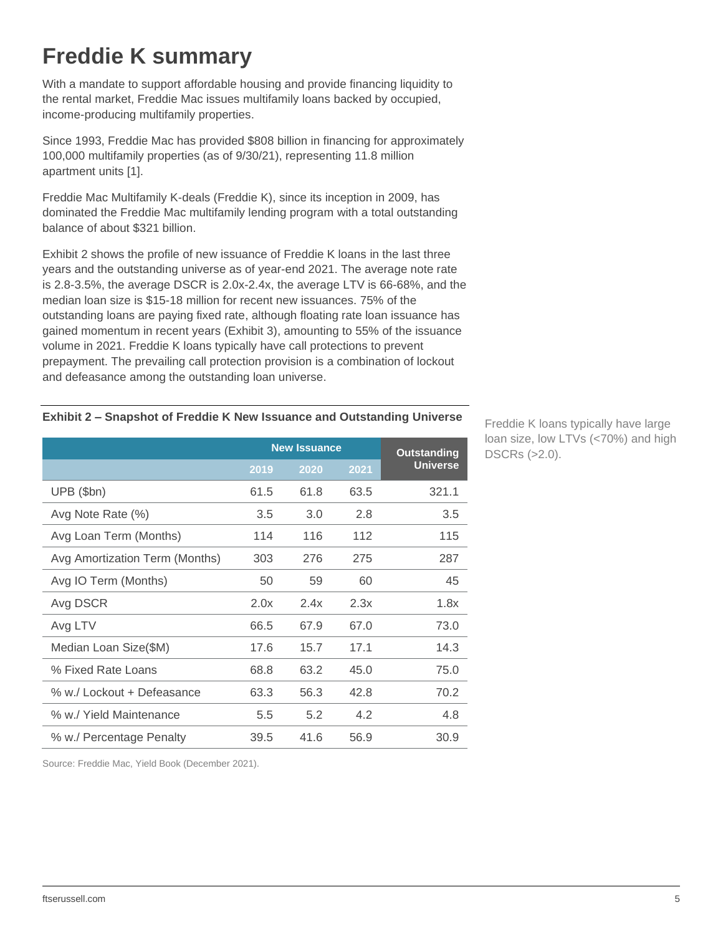## <span id="page-4-0"></span>**Freddie K summary**

With a mandate to support affordable housing and provide financing liquidity to the rental market, Freddie Mac issues multifamily loans backed by occupied, income-producing multifamily properties.

Since 1993, Freddie Mac has provided \$808 billion in financing for approximately 100,000 multifamily properties (as of 9/30/21), representing 11.8 million apartment units [1].

Freddie Mac Multifamily K-deals (Freddie K), since its inception in 2009, has dominated the Freddie Mac multifamily lending program with a total outstanding balance of about \$321 billion.

[Exhibit 2](#page-4-1) shows the profile of new issuance of Freddie K loans in the last three years and the outstanding universe as of year-end 2021. The average note rate is 2.8-3.5%, the average DSCR is 2.0x-2.4x, the average LTV is 66-68%, and the median loan size is \$15-18 million for recent new issuances. 75% of the outstanding loans are paying fixed rate, although floating rate loan issuance has gained momentum in recent years (Exhibit 3), amounting to 55% of the issuance volume in 2021. Freddie K loans typically have call protections to prevent prepayment. The prevailing call protection provision is a combination of lockout and defeasance among the outstanding loan universe.

#### <span id="page-4-1"></span>**Exhibit 2 – Snapshot of Freddie K New Issuance and Outstanding Universe**

|                                |      | <b>New Issuance</b> | <b>Outstanding</b> |                 |
|--------------------------------|------|---------------------|--------------------|-----------------|
|                                | 2019 | 2020                | 2021               | <b>Universe</b> |
| UPB (\$bn)                     | 61.5 | 61.8                | 63.5               | 321.1           |
| Avg Note Rate (%)              | 3.5  | 3.0                 | 2.8                | 3.5             |
| Avg Loan Term (Months)         | 114  | 116                 | 112                | 115             |
| Avg Amortization Term (Months) | 303  | 276                 | 275                | 287             |
| Avg IO Term (Months)           | 50   | 59                  | 60                 | 45              |
| Avg DSCR                       | 2.0x | 2.4x                | 2.3x               | 1.8x            |
| Avg LTV                        | 66.5 | 67.9                | 67.0               | 73.0            |
| Median Loan Size(\$M)          | 17.6 | 15.7                | 17.1               | 14.3            |
| % Fixed Rate Loans             | 68.8 | 63.2                | 45.0               | 75.0            |
| % w./ Lockout + Defeasance     | 63.3 | 56.3                | 42.8               | 70.2            |
| % w./ Yield Maintenance        | 5.5  | 5.2                 | 4.2                | 4.8             |
| % w./ Percentage Penalty       | 39.5 | 41.6                | 56.9               | 30.9            |

Freddie K loans typically have large loan size, low LTVs (<70%) and high DSCRs (>2.0).

Source: Freddie Mac, Yield Book (December 2021).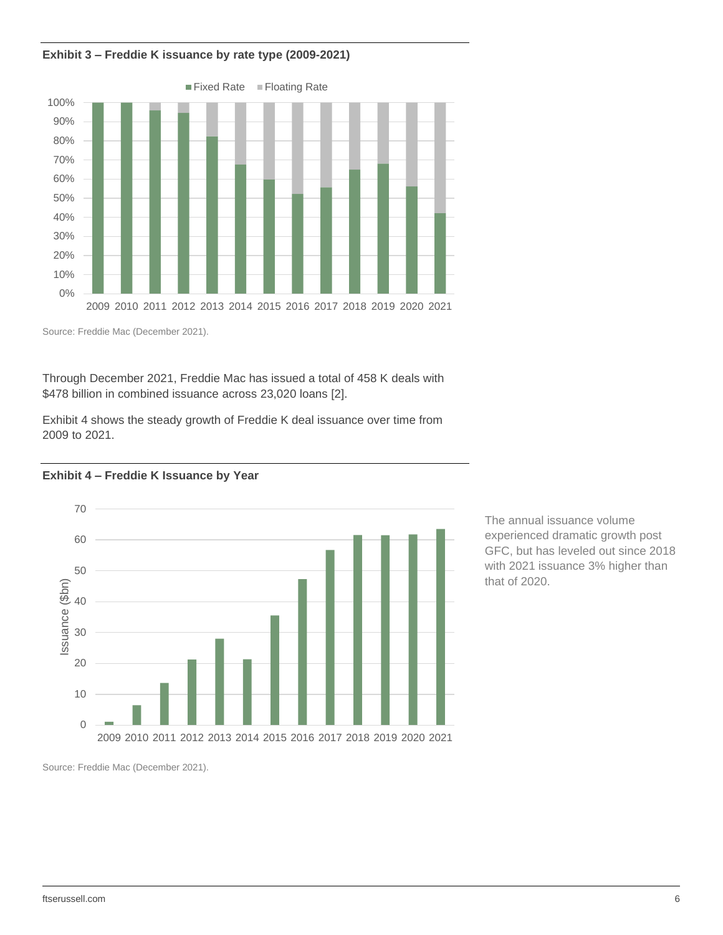**Exhibit 3 – Freddie K issuance by rate type (2009-2021)**



Source: Freddie Mac (December 2021).

Through December 2021, Freddie Mac has issued a total of 458 K deals with \$478 billion in combined issuance across 23,020 loans [2].

Exhibit 4 shows the steady growth of Freddie K deal issuance over time from 2009 to 2021.

#### **Exhibit 4 – Freddie K Issuance by Year**



The annual issuance volume experienced dramatic growth post GFC, but has leveled out since 2018 with 2021 issuance 3% higher than that of 2020.

Source: Freddie Mac (December 2021).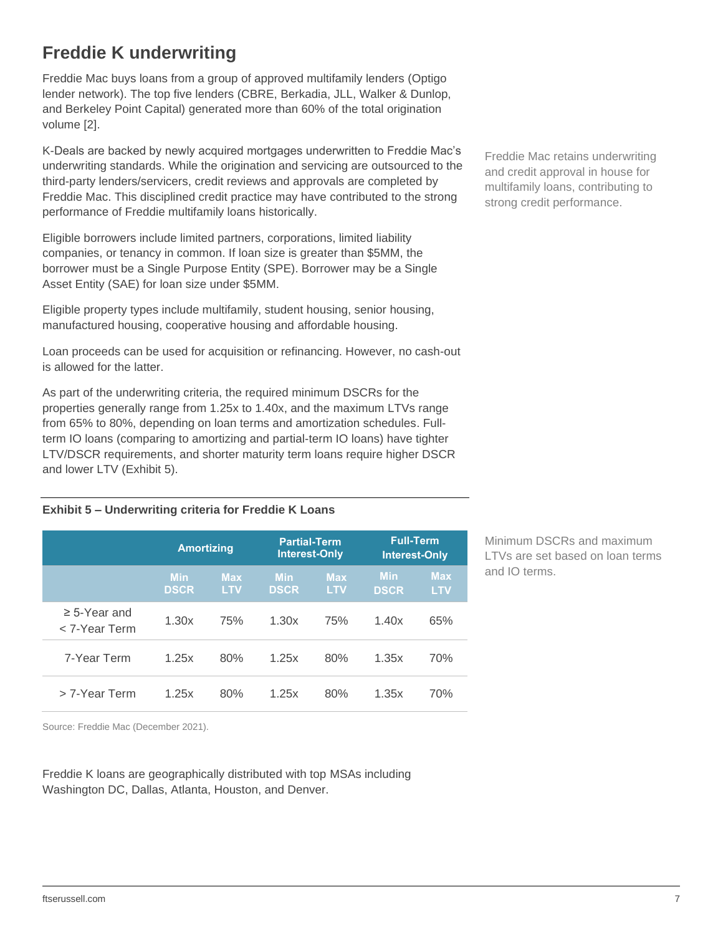## <span id="page-6-0"></span>**Freddie K underwriting**

Freddie Mac buys loans from a group of approved multifamily lenders (Optigo lender network). The top five lenders (CBRE, Berkadia, JLL, Walker & Dunlop, and Berkeley Point Capital) generated more than 60% of the total origination volume [2].

K-Deals are backed by newly acquired mortgages underwritten to Freddie Mac's underwriting standards. While the origination and servicing are outsourced to the third-party lenders/servicers, credit reviews and approvals are completed by Freddie Mac. This disciplined credit practice may have contributed to the strong performance of Freddie multifamily loans historically.

Eligible borrowers include limited partners, corporations, limited liability companies, or tenancy in common. If loan size is greater than \$5MM, the borrower must be a Single Purpose Entity (SPE). Borrower may be a Single Asset Entity (SAE) for loan size under \$5MM.

Eligible property types include multifamily, student housing, senior housing, manufactured housing, cooperative housing and affordable housing.

Loan proceeds can be used for acquisition or refinancing. However, no cash-out is allowed for the latter.

As part of the underwriting criteria, the required minimum DSCRs for the properties generally range from 1.25x to 1.40x, and the maximum LTVs range from 65% to 80%, depending on loan terms and amortization schedules. Fullterm IO loans (comparing to amortizing and partial-term IO loans) have tighter LTV/DSCR requirements, and shorter maturity term loans require higher DSCR and lower LTV [\(Exhibit 5](#page-6-1)).

<span id="page-6-1"></span>**Exhibit 5 – Underwriting criteria for Freddie K Loans**

|                                    | <b>Amortizing</b>         |                          | <b>Partial-Term</b><br><b>Interest-Only</b> |                          | <b>Full-Term</b><br><b>Interest-Only</b> |                          |
|------------------------------------|---------------------------|--------------------------|---------------------------------------------|--------------------------|------------------------------------------|--------------------------|
|                                    | <b>Min</b><br><b>DSCR</b> | <b>Max</b><br><b>LTV</b> | <b>Min</b><br><b>DSCR</b>                   | <b>Max</b><br><b>LTV</b> | <b>Min</b><br><b>DSCR</b>                | <b>Max</b><br><b>LTV</b> |
| $\geq$ 5-Year and<br>< 7-Year Term | 1.30x                     | 75%                      | 1.30x                                       | 75%                      | 1.40x                                    | 65%                      |
| 7-Year Term                        | 1.25x                     | 80%                      | 1.25x                                       | 80%                      | 1.35x                                    | 70%                      |
| > 7-Year Term                      | 1.25x                     | 80%                      | 1.25x                                       | 80%                      | 1.35x                                    | 70%                      |

Minimum DSCRs and maximum LTVs are set based on loan terms and IO terms.

Source: Freddie Mac (December 2021).

Freddie K loans are geographically distributed with top MSAs including Washington DC, Dallas, Atlanta, Houston, and Denver.

Freddie Mac retains underwriting and credit approval in house for multifamily loans, contributing to strong credit performance.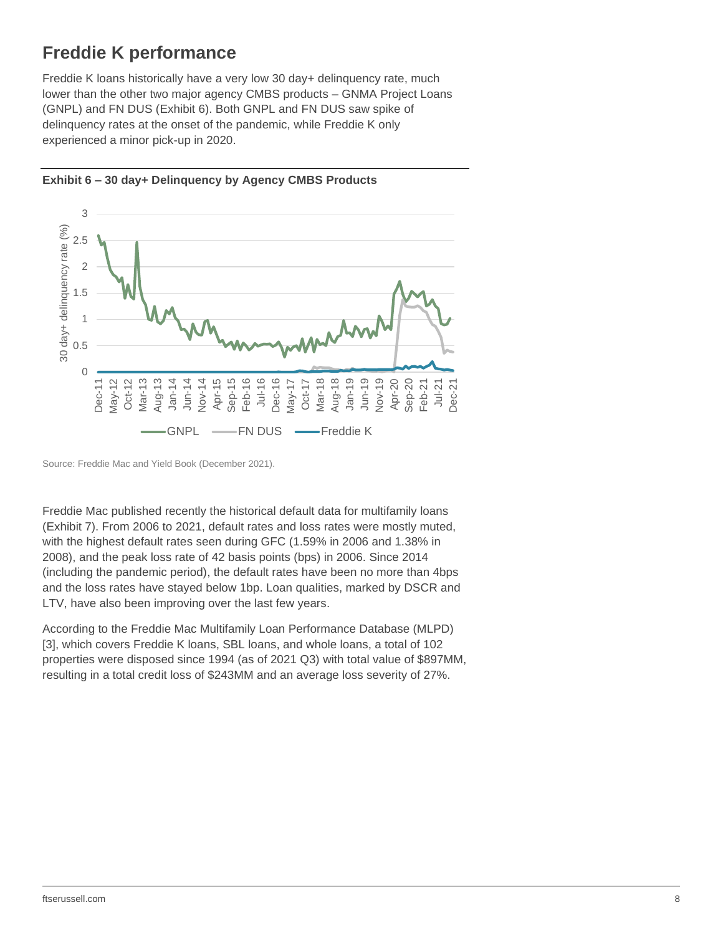### <span id="page-7-0"></span>**Freddie K performance**

Freddie K loans historically have a very low 30 day+ delinquency rate, much lower than the other two major agency CMBS products – GNMA Project Loans (GNPL) and FN DUS (Exhibit 6). Both GNPL and FN DUS saw spike of delinquency rates at the onset of the pandemic, while Freddie K only experienced a minor pick-up in 2020.



**Exhibit 6 – 30 day+ Delinquency by Agency CMBS Products**

Freddie Mac published recently the historical default data for multifamily loans (Exhibit 7). From 2006 to 2021, default rates and loss rates were mostly muted, with the highest default rates seen during GFC (1.59% in 2006 and 1.38% in 2008), and the peak loss rate of 42 basis points (bps) in 2006. Since 2014 (including the pandemic period), the default rates have been no more than 4bps and the loss rates have stayed below 1bp. Loan qualities, marked by DSCR and LTV, have also been improving over the last few years.

According to the Freddie Mac Multifamily Loan Performance Database (MLPD) [3], which covers Freddie K loans, SBL loans, and whole loans, a total of 102 properties were disposed since 1994 (as of 2021 Q3) with total value of \$897MM, resulting in a total credit loss of \$243MM and an average loss severity of 27%.

Source: Freddie Mac and Yield Book (December 2021).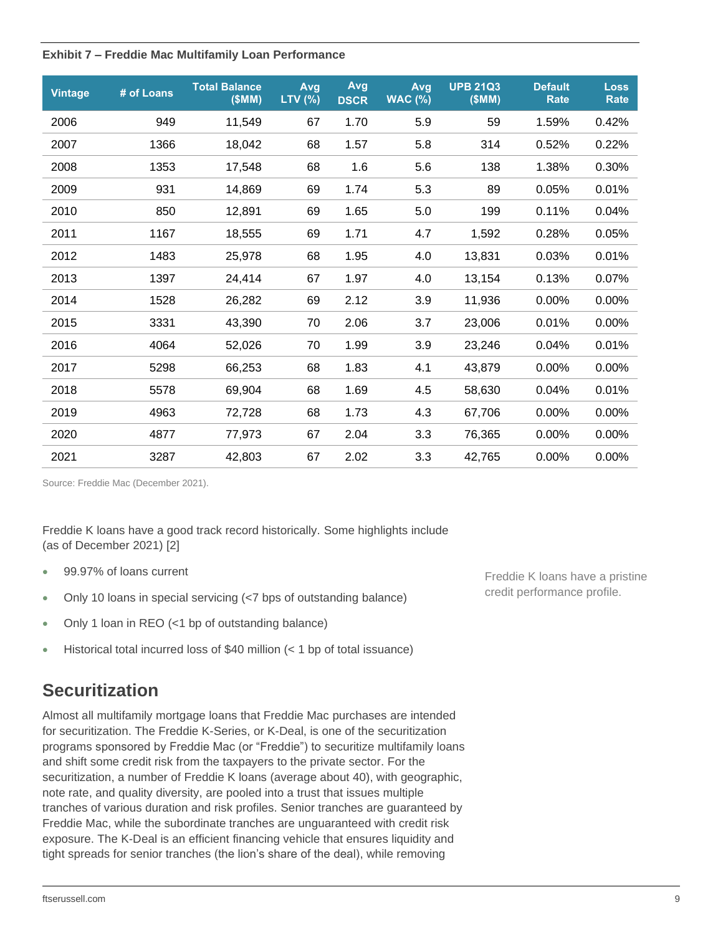#### **Exhibit 7 – Freddie Mac Multifamily Loan Performance**

| <b>Vintage</b> | # of Loans | <b>Total Balance</b><br>(SMM) | Avg<br>LTV (%) | Avg<br><b>DSCR</b> | Avg<br><b>WAC (%)</b> | <b>UPB 21Q3</b><br>(SMM) | <b>Default</b><br><b>Rate</b> | <b>Loss</b><br><b>Rate</b> |
|----------------|------------|-------------------------------|----------------|--------------------|-----------------------|--------------------------|-------------------------------|----------------------------|
| 2006           | 949        | 11,549                        | 67             | 1.70               | 5.9                   | 59                       | 1.59%                         | 0.42%                      |
| 2007           | 1366       | 18,042                        | 68             | 1.57               | 5.8                   | 314                      | 0.52%                         | 0.22%                      |
| 2008           | 1353       | 17,548                        | 68             | 1.6                | 5.6                   | 138                      | 1.38%                         | 0.30%                      |
| 2009           | 931        | 14,869                        | 69             | 1.74               | 5.3                   | 89                       | 0.05%                         | 0.01%                      |
| 2010           | 850        | 12,891                        | 69             | 1.65               | 5.0                   | 199                      | 0.11%                         | 0.04%                      |
| 2011           | 1167       | 18,555                        | 69             | 1.71               | 4.7                   | 1,592                    | 0.28%                         | 0.05%                      |
| 2012           | 1483       | 25,978                        | 68             | 1.95               | 4.0                   | 13,831                   | 0.03%                         | 0.01%                      |
| 2013           | 1397       | 24,414                        | 67             | 1.97               | 4.0                   | 13,154                   | 0.13%                         | 0.07%                      |
| 2014           | 1528       | 26,282                        | 69             | 2.12               | 3.9                   | 11,936                   | 0.00%                         | 0.00%                      |
| 2015           | 3331       | 43,390                        | 70             | 2.06               | 3.7                   | 23,006                   | 0.01%                         | $0.00\%$                   |
| 2016           | 4064       | 52,026                        | 70             | 1.99               | 3.9                   | 23,246                   | 0.04%                         | 0.01%                      |
| 2017           | 5298       | 66,253                        | 68             | 1.83               | 4.1                   | 43,879                   | 0.00%                         | 0.00%                      |
| 2018           | 5578       | 69,904                        | 68             | 1.69               | 4.5                   | 58,630                   | 0.04%                         | 0.01%                      |
| 2019           | 4963       | 72,728                        | 68             | 1.73               | 4.3                   | 67,706                   | 0.00%                         | 0.00%                      |
| 2020           | 4877       | 77,973                        | 67             | 2.04               | 3.3                   | 76,365                   | $0.00\%$                      | 0.00%                      |
| 2021           | 3287       | 42,803                        | 67             | 2.02               | 3.3                   | 42,765                   | 0.00%                         | 0.00%                      |

Source: Freddie Mac (December 2021).

Freddie K loans have a good track record historically. Some highlights include (as of December 2021) [2]

- 99.97% of loans current
- Only 10 loans in special servicing (<7 bps of outstanding balance)
- Only 1 loan in REO (<1 bp of outstanding balance)
- Historical total incurred loss of \$40 million (< 1 bp of total issuance)

### <span id="page-8-0"></span>**Securitization**

Almost all multifamily mortgage loans that Freddie Mac purchases are intended for securitization. The Freddie K-Series, or K-Deal, is one of the securitization programs sponsored by Freddie Mac (or "Freddie") to securitize multifamily loans and shift some credit risk from the taxpayers to the private sector. For the securitization, a number of Freddie K loans (average about 40), with geographic, note rate, and quality diversity, are pooled into a trust that issues multiple tranches of various duration and risk profiles. Senior tranches are guaranteed by Freddie Mac, while the subordinate tranches are unguaranteed with credit risk exposure. The K-Deal is an efficient financing vehicle that ensures liquidity and tight spreads for senior tranches (the lion's share of the deal), while removing

Freddie K loans have a pristine credit performance profile.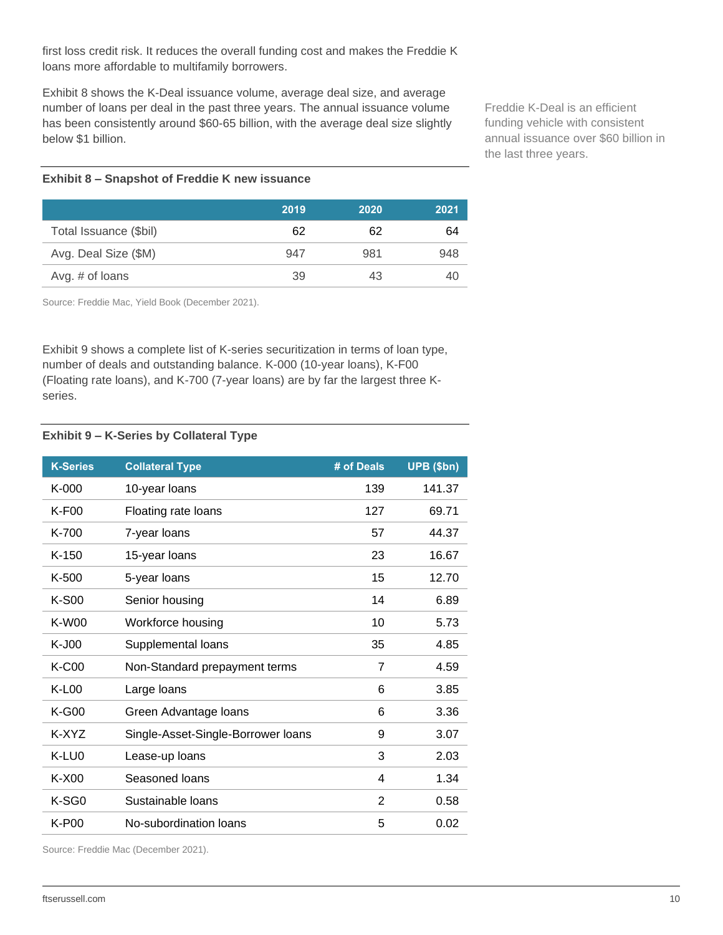first loss credit risk. It reduces the overall funding cost and makes the Freddie K loans more affordable to multifamily borrowers.

Exhibit 8 shows the K-Deal issuance volume, average deal size, and average number of loans per deal in the past three years. The annual issuance volume has been consistently around \$60-65 billion, with the average deal size slightly below \$1 billion.

Freddie K-Deal is an efficient funding vehicle with consistent annual issuance over \$60 billion in the last three years.

#### **Exhibit 8 – Snapshot of Freddie K new issuance**

|                        | 2019 | 2020 | 2021 |
|------------------------|------|------|------|
| Total Issuance (\$bil) | 62   | 62   | 64   |
| Avg. Deal Size (\$M)   | 947  | 981  | 948  |
| Avg. # of loans        | 39   | 43   |      |

Source: Freddie Mac, Yield Book (December 2021).

Exhibit 9 shows a complete list of K-series securitization in terms of loan type, number of deals and outstanding balance. K-000 (10-year loans), K-F00 (Floating rate loans), and K-700 (7-year loans) are by far the largest three Kseries.

#### **Exhibit 9 – K-Series by Collateral Type**

| <b>K-Series</b> | <b>Collateral Type</b>             | # of Deals     | UPB (\$bn) |
|-----------------|------------------------------------|----------------|------------|
| $K-000$         | 10-year loans                      | 139            | 141.37     |
| K-F00           | Floating rate loans                | 127            | 69.71      |
| K-700           | 7-year loans                       | 57             | 44.37      |
| $K-150$         | 15-year loans                      | 23             | 16.67      |
| $K-500$         | 5-year loans                       | 15             | 12.70      |
| $K-S00$         | Senior housing                     | 14             | 6.89       |
| <b>K-W00</b>    | Workforce housing                  | 10             | 5.73       |
| K-J00           | Supplemental loans                 | 35             | 4.85       |
| <b>K-C00</b>    | Non-Standard prepayment terms      | $\overline{7}$ | 4.59       |
| $K-L00$         | Large loans                        | 6              | 3.85       |
| $K-G00$         | Green Advantage loans              | 6              | 3.36       |
| K-XYZ           | Single-Asset-Single-Borrower loans | 9              | 3.07       |
| K-LU0           | Lease-up loans                     | 3              | 2.03       |
| $K-X00$         | Seasoned loans                     | 4              | 1.34       |
| K-SG0           | Sustainable Ioans                  | $\overline{2}$ | 0.58       |
| K-P00           | No-subordination loans             | 5              | 0.02       |

Source: Freddie Mac (December 2021).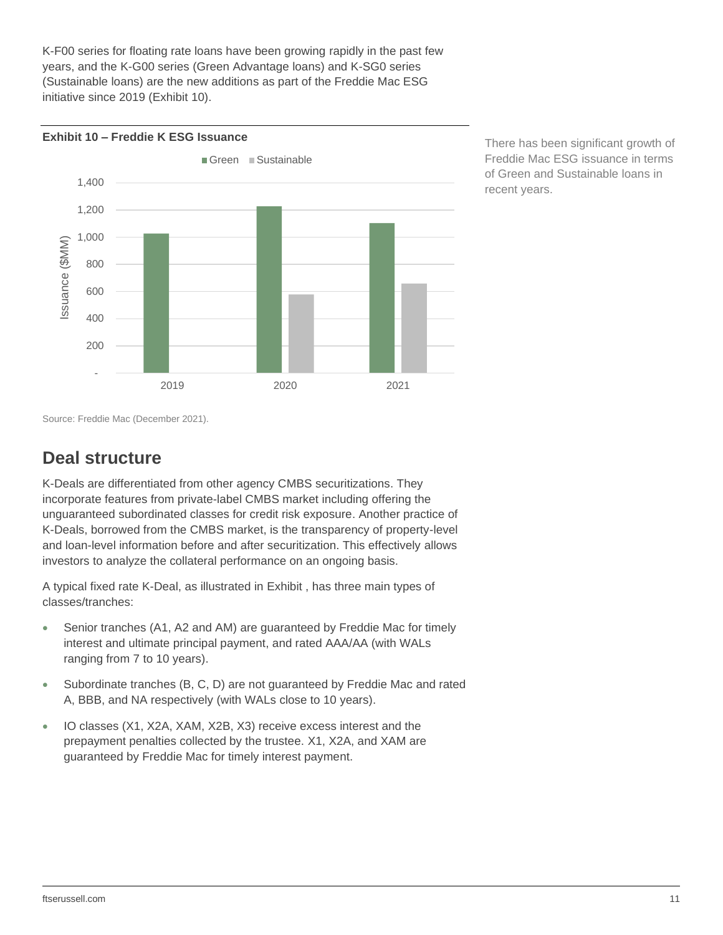K-F00 series for floating rate loans have been growing rapidly in the past few years, and the K-G00 series (Green Advantage loans) and K-SG0 series (Sustainable loans) are the new additions as part of the Freddie Mac ESG initiative since 2019 (Exhibit 10).



There has been significant growth of Freddie Mac ESG issuance in terms of Green and Sustainable loans in recent years.

Source: Freddie Mac (December 2021).

### <span id="page-10-0"></span>**Deal structure**

K-Deals are differentiated from other agency CMBS securitizations. They incorporate features from private-label CMBS market including offering the unguaranteed subordinated classes for credit risk exposure. Another practice of K-Deals, borrowed from the CMBS market, is the transparency of property-level and loan-level information before and after securitization. This effectively allows investors to analyze the collateral performance on an ongoing basis.

A typical fixed rate K-Deal, as illustrated in [Exhibit ,](#page-11-0) has three main types of classes/tranches:

- Senior tranches (A1, A2 and AM) are guaranteed by Freddie Mac for timely interest and ultimate principal payment, and rated AAA/AA (with WALs ranging from 7 to 10 years).
- Subordinate tranches (B, C, D) are not guaranteed by Freddie Mac and rated A, BBB, and NA respectively (with WALs close to 10 years).
- IO classes (X1, X2A, XAM, X2B, X3) receive excess interest and the prepayment penalties collected by the trustee. X1, X2A, and XAM are guaranteed by Freddie Mac for timely interest payment.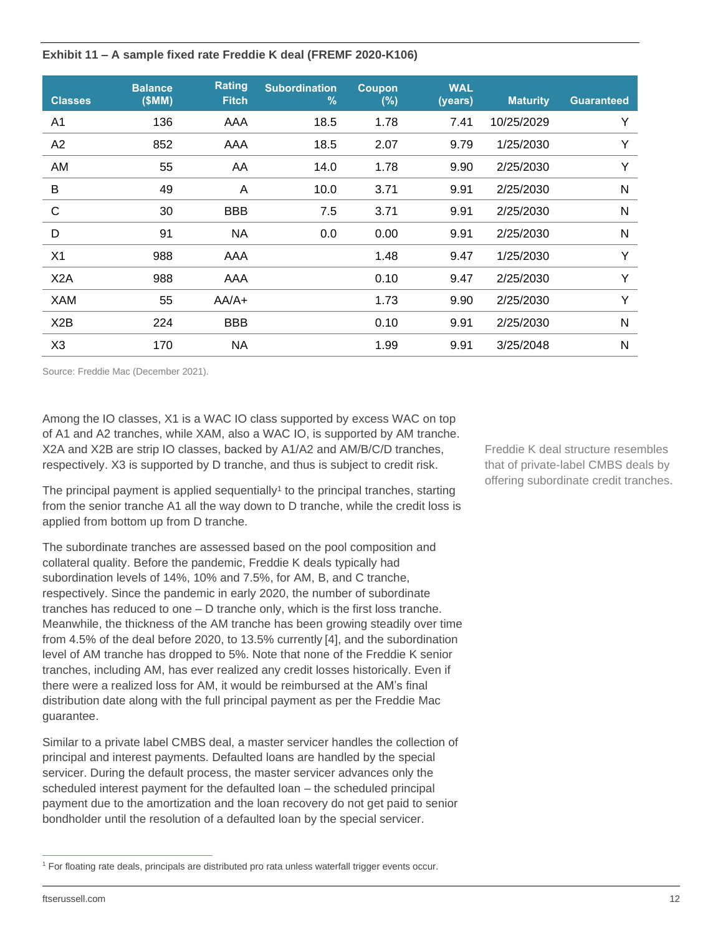<span id="page-11-0"></span>**Exhibit 11 – A sample fixed rate Freddie K deal (FREMF 2020-K106)**

| <b>Classes</b>   | <b>Balance</b><br>(SMM) | <b>Rating</b><br><b>Fitch</b> | <b>Subordination</b><br>$\frac{9}{6}$ | <b>Coupon</b><br>$(\%)$ | <b>WAL</b><br>(years) | <b>Maturity</b> | <b>Guaranteed</b> |
|------------------|-------------------------|-------------------------------|---------------------------------------|-------------------------|-----------------------|-----------------|-------------------|
| A <sub>1</sub>   | 136                     | AAA                           | 18.5                                  | 1.78                    | 7.41                  | 10/25/2029      | Y                 |
| A2               | 852                     | AAA                           | 18.5                                  | 2.07                    | 9.79                  | 1/25/2030       | Y                 |
| AM               | 55                      | AA                            | 14.0                                  | 1.78                    | 9.90                  | 2/25/2030       | Y                 |
| B                | 49                      | A                             | 10.0                                  | 3.71                    | 9.91                  | 2/25/2030       | N                 |
| $\mathsf{C}$     | 30                      | <b>BBB</b>                    | 7.5                                   | 3.71                    | 9.91                  | 2/25/2030       | N                 |
| D                | 91                      | <b>NA</b>                     | 0.0                                   | 0.00                    | 9.91                  | 2/25/2030       | N                 |
| X <sub>1</sub>   | 988                     | AAA                           |                                       | 1.48                    | 9.47                  | 1/25/2030       | Y                 |
| X <sub>2</sub> A | 988                     | AAA                           |                                       | 0.10                    | 9.47                  | 2/25/2030       | Y                 |
| XAM              | 55                      | $AA/A+$                       |                                       | 1.73                    | 9.90                  | 2/25/2030       | Y                 |
| X <sub>2</sub> B | 224                     | <b>BBB</b>                    |                                       | 0.10                    | 9.91                  | 2/25/2030       | N                 |
| X <sub>3</sub>   | 170                     | <b>NA</b>                     |                                       | 1.99                    | 9.91                  | 3/25/2048       | N                 |

Source: Freddie Mac (December 2021).

Among the IO classes, X1 is a WAC IO class supported by excess WAC on top of A1 and A2 tranches, while XAM, also a WAC IO, is supported by AM tranche. X2A and X2B are strip IO classes, backed by A1/A2 and AM/B/C/D tranches, respectively. X3 is supported by D tranche, and thus is subject to credit risk.

The principal payment is applied sequentially<sup>1</sup> to the principal tranches, starting from the senior tranche A1 all the way down to D tranche, while the credit loss is applied from bottom up from D tranche.

The subordinate tranches are assessed based on the pool composition and collateral quality. Before the pandemic, Freddie K deals typically had subordination levels of 14%, 10% and 7.5%, for AM, B, and C tranche, respectively. Since the pandemic in early 2020, the number of subordinate tranches has reduced to one – D tranche only, which is the first loss tranche. Meanwhile, the thickness of the AM tranche has been growing steadily over time from 4.5% of the deal before 2020, to 13.5% currently [4], and the subordination level of AM tranche has dropped to 5%. Note that none of the Freddie K senior tranches, including AM, has ever realized any credit losses historically. Even if there were a realized loss for AM, it would be reimbursed at the AM's final distribution date along with the full principal payment as per the Freddie Mac guarantee.

Similar to a private label CMBS deal, a master servicer handles the collection of principal and interest payments. Defaulted loans are handled by the special servicer. During the default process, the master servicer advances only the scheduled interest payment for the defaulted loan – the scheduled principal payment due to the amortization and the loan recovery do not get paid to senior bondholder until the resolution of a defaulted loan by the special servicer.

Freddie K deal structure resembles that of private-label CMBS deals by offering subordinate credit tranches.

<sup>&</sup>lt;sup>1</sup> For floating rate deals, principals are distributed pro rata unless waterfall trigger events occur.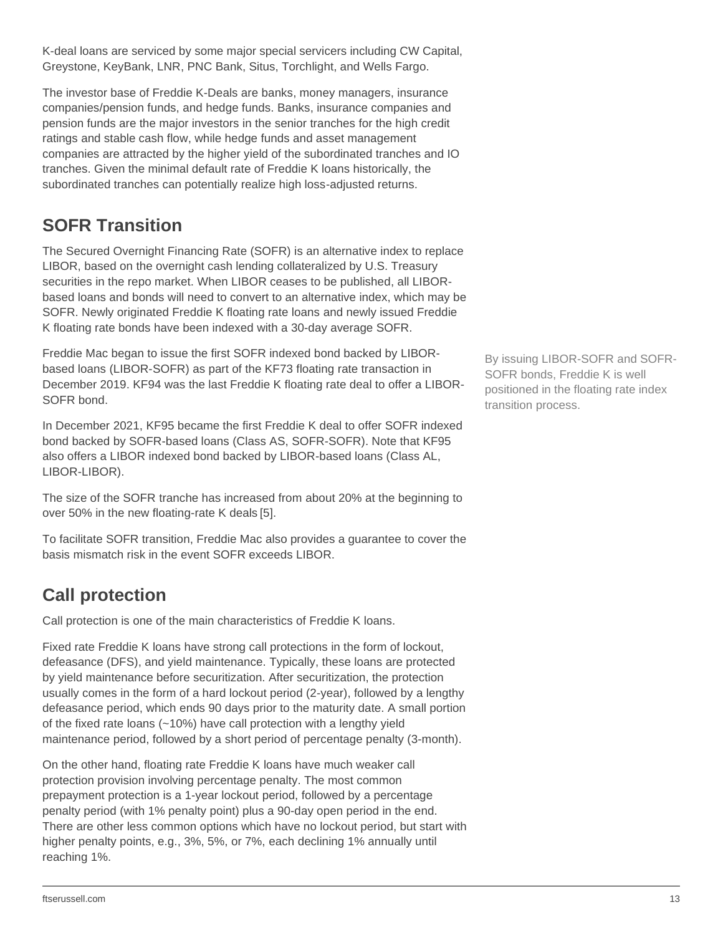K-deal loans are serviced by some major special servicers including CW Capital, Greystone, KeyBank, LNR, PNC Bank, Situs, Torchlight, and Wells Fargo.

The investor base of Freddie K-Deals are banks, money managers, insurance companies/pension funds, and hedge funds. Banks, insurance companies and pension funds are the major investors in the senior tranches for the high credit ratings and stable cash flow, while hedge funds and asset management companies are attracted by the higher yield of the subordinated tranches and IO tranches. Given the minimal default rate of Freddie K loans historically, the subordinated tranches can potentially realize high loss-adjusted returns.

### <span id="page-12-0"></span>**SOFR Transition**

The Secured Overnight Financing Rate (SOFR) is an alternative index to replace LIBOR, based on the overnight cash lending collateralized by U.S. Treasury securities in the repo market. When LIBOR ceases to be published, all LIBORbased loans and bonds will need to convert to an alternative index, which may be SOFR. Newly originated Freddie K floating rate loans and newly issued Freddie K floating rate bonds have been indexed with a 30-day average SOFR.

Freddie Mac began to issue the first SOFR indexed bond backed by LIBORbased loans (LIBOR-SOFR) as part of the KF73 floating rate transaction in December 2019. KF94 was the last Freddie K floating rate deal to offer a LIBOR-SOFR bond.

In December 2021, KF95 became the first Freddie K deal to offer SOFR indexed bond backed by SOFR-based loans (Class AS, SOFR-SOFR). Note that KF95 also offers a LIBOR indexed bond backed by LIBOR-based loans (Class AL, LIBOR-LIBOR).

The size of the SOFR tranche has increased from about 20% at the beginning to over 50% in the new floating-rate K deals [5].

To facilitate SOFR transition, Freddie Mac also provides a guarantee to cover the basis mismatch risk in the event SOFR exceeds LIBOR.

### <span id="page-12-1"></span>**Call protection**

Call protection is one of the main characteristics of Freddie K loans.

Fixed rate Freddie K loans have strong call protections in the form of lockout, defeasance (DFS), and yield maintenance. Typically, these loans are protected by yield maintenance before securitization. After securitization, the protection usually comes in the form of a hard lockout period (2-year), followed by a lengthy defeasance period, which ends 90 days prior to the maturity date. A small portion of the fixed rate loans (~10%) have call protection with a lengthy yield maintenance period, followed by a short period of percentage penalty (3-month).

On the other hand, floating rate Freddie K loans have much weaker call protection provision involving percentage penalty. The most common prepayment protection is a 1-year lockout period, followed by a percentage penalty period (with 1% penalty point) plus a 90-day open period in the end. There are other less common options which have no lockout period, but start with higher penalty points, e.g., 3%, 5%, or 7%, each declining 1% annually until reaching 1%.

By issuing LIBOR-SOFR and SOFR-SOFR bonds, Freddie K is well positioned in the floating rate index transition process.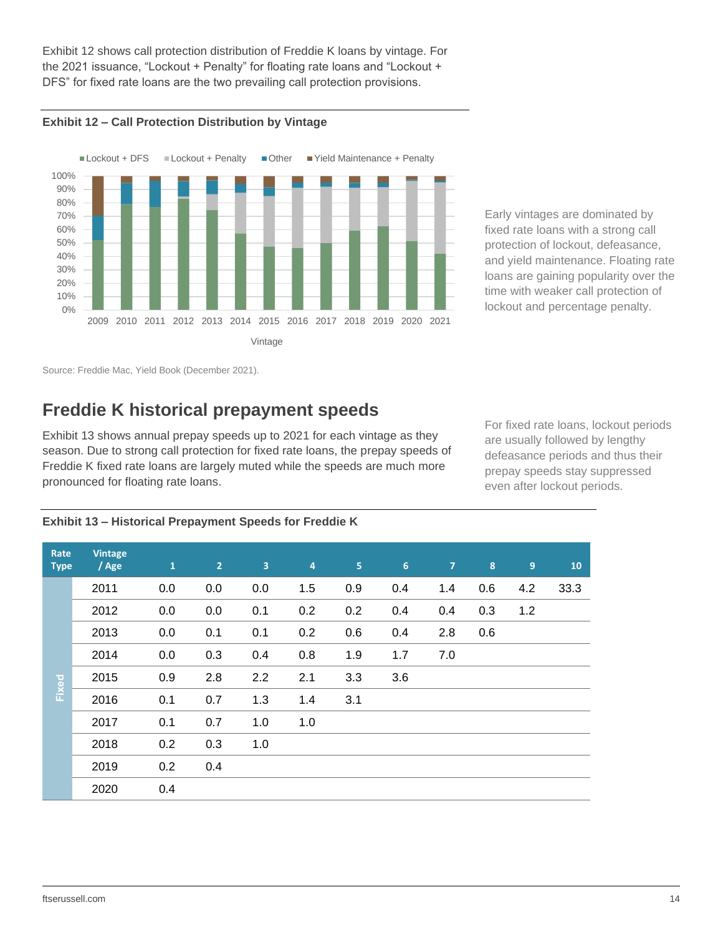Exhibit 12 shows call protection distribution of Freddie K loans by vintage. For the 2021 issuance, "Lockout + Penalty" for floating rate loans and "Lockout + DFS" for fixed rate loans are the two prevailing call protection provisions.





Early vintages are dominated by fixed rate loans with a strong call protection of lockout, defeasance, and yield maintenance. Floating rate loans are gaining popularity over the time with weaker call protection of lockout and percentage penalty.

Source: Freddie Mac, Yield Book (December 2021).

### <span id="page-13-0"></span>**Freddie K historical prepayment speeds**

[Exhibit 1](#page-13-1)3 shows annual prepay speeds up to 2021 for each vintage as they season. Due to strong call protection for fixed rate loans, the prepay speeds of Freddie K fixed rate loans are largely muted while the speeds are much more pronounced for floating rate loans.

For fixed rate loans, lockout periods are usually followed by lengthy defeasance periods and thus their prepay speeds stay suppressed even after lockout periods.

| Rate<br><b>Type</b> | <b>Vintage</b><br>/ Age | $\mathbf{1}$ | 2 <sup>1</sup> | $\overline{3}$ | $\overline{4}$ | 5   | 6   | $\overline{7}$ | 8   | $\boldsymbol{9}$ | 10   |
|---------------------|-------------------------|--------------|----------------|----------------|----------------|-----|-----|----------------|-----|------------------|------|
|                     | 2011                    | 0.0          | 0.0            | 0.0            | 1.5            | 0.9 | 0.4 | 1.4            | 0.6 | 4.2              | 33.3 |
|                     | 2012                    | 0.0          | 0.0            | 0.1            | 0.2            | 0.2 | 0.4 | 0.4            | 0.3 | 1.2              |      |
|                     | 2013                    | 0.0          | 0.1            | 0.1            | 0.2            | 0.6 | 0.4 | 2.8            | 0.6 |                  |      |
|                     | 2014                    | 0.0          | 0.3            | 0.4            | 0.8            | 1.9 | 1.7 | 7.0            |     |                  |      |
| Fixed               | 2015                    | 0.9          | 2.8            | 2.2            | 2.1            | 3.3 | 3.6 |                |     |                  |      |
|                     | 2016                    | 0.1          | 0.7            | 1.3            | 1.4            | 3.1 |     |                |     |                  |      |
|                     | 2017                    | 0.1          | 0.7            | 1.0            | 1.0            |     |     |                |     |                  |      |
|                     | 2018                    | 0.2          | 0.3            | 1.0            |                |     |     |                |     |                  |      |
|                     | 2019                    | 0.2          | 0.4            |                |                |     |     |                |     |                  |      |
|                     | 2020                    | 0.4          |                |                |                |     |     |                |     |                  |      |

<span id="page-13-1"></span>**Exhibit 13 – Historical Prepayment Speeds for Freddie K**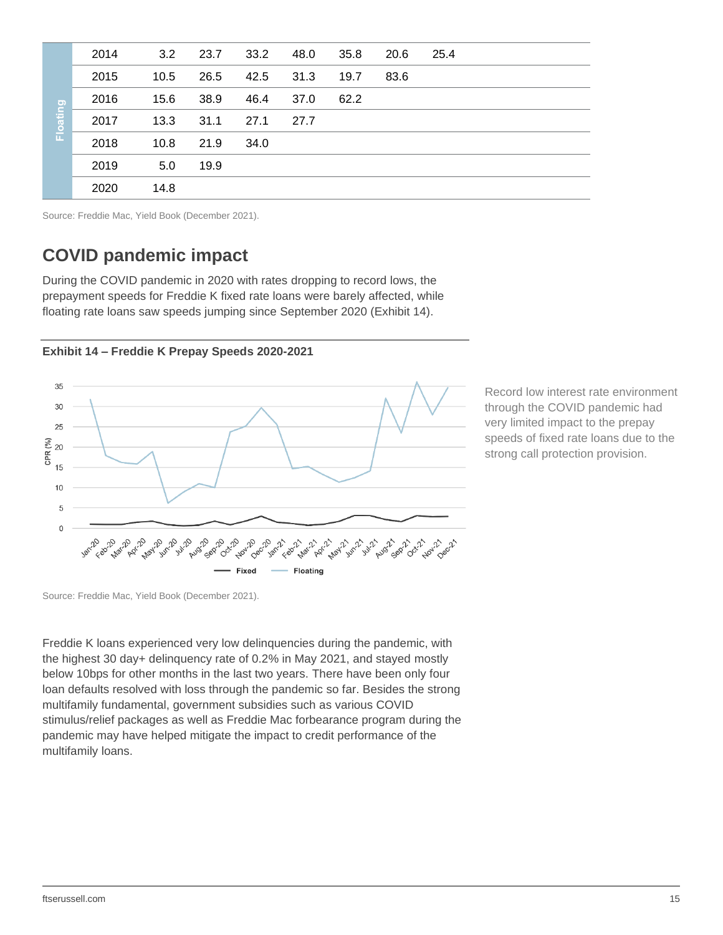|          | 2014 | 3.2  | 23.7 | 33.2 | 48.0 | 35.8 | 20.6 | 25.4 |
|----------|------|------|------|------|------|------|------|------|
|          | 2015 | 10.5 | 26.5 | 42.5 | 31.3 | 19.7 | 83.6 |      |
|          | 2016 | 15.6 | 38.9 | 46.4 | 37.0 | 62.2 |      |      |
| Floating | 2017 | 13.3 | 31.1 | 27.1 | 27.7 |      |      |      |
|          | 2018 | 10.8 | 21.9 | 34.0 |      |      |      |      |
|          | 2019 | 5.0  | 19.9 |      |      |      |      |      |
|          | 2020 | 14.8 |      |      |      |      |      |      |

<span id="page-14-0"></span>Source: Freddie Mac, Yield Book (December 2021).

### **COVID pandemic impact**

During the COVID pandemic in 2020 with rates dropping to record lows, the prepayment speeds for Freddie K fixed rate loans were barely affected, while floating rate loans saw speeds jumping since September 2020 (Exhibit 14).





Record low interest rate environment through the COVID pandemic had very limited impact to the prepay speeds of fixed rate loans due to the strong call protection provision.

Source: Freddie Mac, Yield Book (December 2021).

Freddie K loans experienced very low delinquencies during the pandemic, with the highest 30 day+ delinquency rate of 0.2% in May 2021, and stayed mostly below 10bps for other months in the last two years. There have been only four loan defaults resolved with loss through the pandemic so far. Besides the strong multifamily fundamental, government subsidies such as various COVID stimulus/relief packages as well as Freddie Mac forbearance program during the pandemic may have helped mitigate the impact to credit performance of the multifamily loans.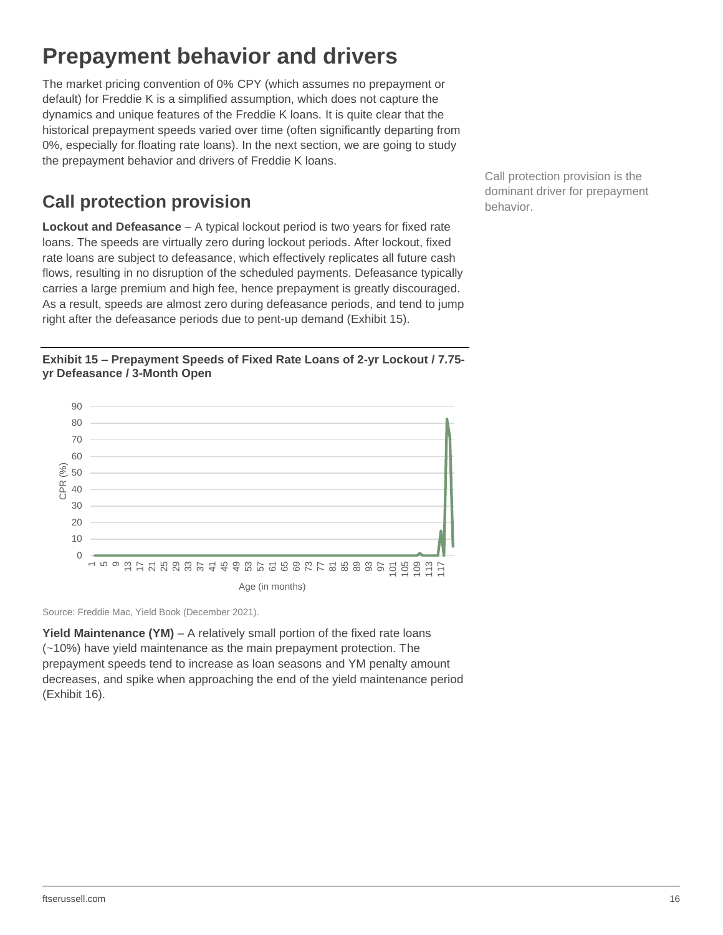## <span id="page-15-0"></span>**Prepayment behavior and drivers**

The market pricing convention of 0% CPY (which assumes no prepayment or default) for Freddie K is a simplified assumption, which does not capture the dynamics and unique features of the Freddie K loans. It is quite clear that the historical prepayment speeds varied over time (often significantly departing from 0%, especially for floating rate loans). In the next section, we are going to study the prepayment behavior and drivers of Freddie K loans.

### <span id="page-15-1"></span>**Call protection provision**

**Lockout and Defeasance** – A typical lockout period is two years for fixed rate loans. The speeds are virtually zero during lockout periods. After lockout, fixed rate loans are subject to defeasance, which effectively replicates all future cash flows, resulting in no disruption of the scheduled payments. Defeasance typically carries a large premium and high fee, hence prepayment is greatly discouraged. As a result, speeds are almost zero during defeasance periods, and tend to jump right after the defeasance periods due to pent-up demand (Exhibit 15).

**Exhibit 15 – Prepayment Speeds of Fixed Rate Loans of 2-yr Lockout / 7.75 yr Defeasance / 3-Month Open**



Source: Freddie Mac, Yield Book (December 2021).

**Yield Maintenance (YM)** – A relatively small portion of the fixed rate loans (~10%) have yield maintenance as the main prepayment protection. The prepayment speeds tend to increase as loan seasons and YM penalty amount decreases, and spike when approaching the end of the yield maintenance period (Exhibit 16).

Call protection provision is the dominant driver for prepayment behavior.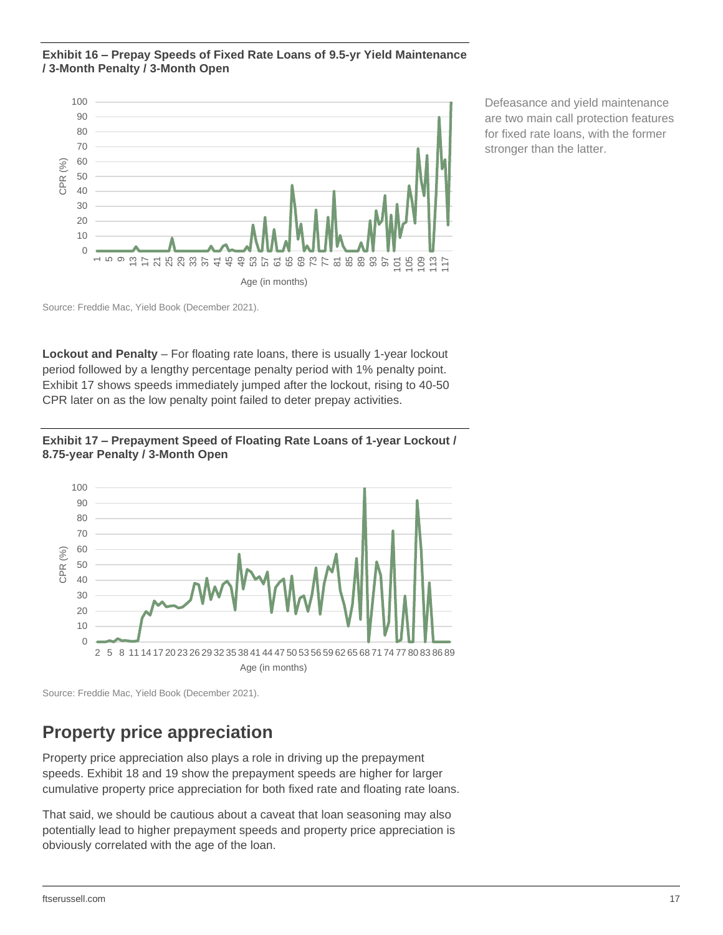#### **Exhibit 16 – Prepay Speeds of Fixed Rate Loans of 9.5-yr Yield Maintenance / 3-Month Penalty / 3-Month Open**



Defeasance and yield maintenance are two main call protection features for fixed rate loans, with the former stronger than the latter.

Source: Freddie Mac, Yield Book (December 2021).

**Lockout and Penalty** – For floating rate loans, there is usually 1-year lockout period followed by a lengthy percentage penalty period with 1% penalty point. Exhibit 17 shows speeds immediately jumped after the lockout, rising to 40-50 CPR later on as the low penalty point failed to deter prepay activities.





Source: Freddie Mac, Yield Book (December 2021).

### <span id="page-16-0"></span>**Property price appreciation**

Property price appreciation also plays a role in driving up the prepayment speeds. Exhibit 18 and 19 show the prepayment speeds are higher for larger cumulative property price appreciation for both fixed rate and floating rate loans.

That said, we should be cautious about a caveat that loan seasoning may also potentially lead to higher prepayment speeds and property price appreciation is obviously correlated with the age of the loan.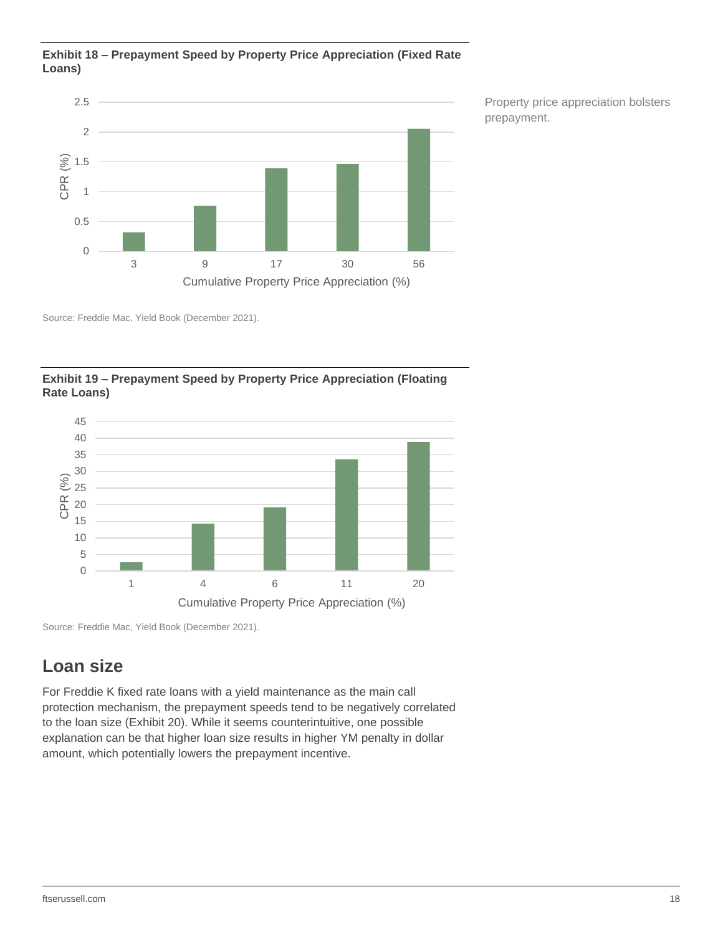#### **Exhibit 18 – Prepayment Speed by Property Price Appreciation (Fixed Rate Loans)**



Property price appreciation bolsters prepayment.

Source: Freddie Mac, Yield Book (December 2021).



**Exhibit 19 – Prepayment Speed by Property Price Appreciation (Floating Rate Loans)**

Source: Freddie Mac, Yield Book (December 2021).

### <span id="page-17-0"></span>**Loan size**

For Freddie K fixed rate loans with a yield maintenance as the main call protection mechanism, the prepayment speeds tend to be negatively correlated to the loan size [\(Exhibit 2](#page-18-1)0). While it seems counterintuitive, one possible explanation can be that higher loan size results in higher YM penalty in dollar amount, which potentially lowers the prepayment incentive.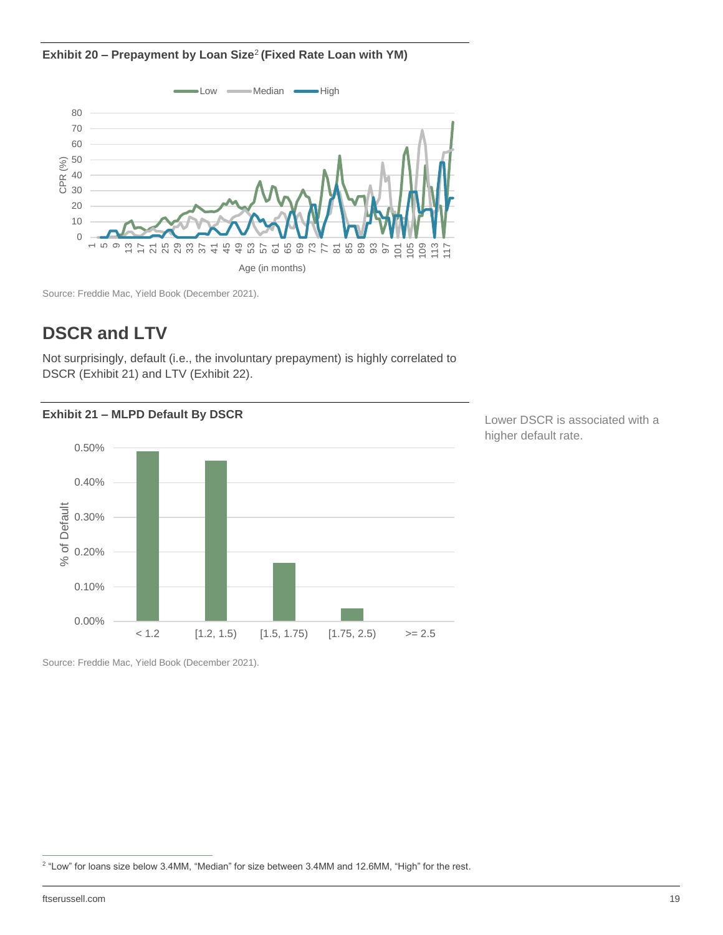<span id="page-18-1"></span>**Exhibit 20 – Prepayment by Loan Size**<sup>2</sup> **(Fixed Rate Loan with YM)**



Source: Freddie Mac, Yield Book (December 2021).

### <span id="page-18-0"></span>**DSCR and LTV**

Not surprisingly, default (i.e., the involuntary prepayment) is highly correlated to DSCR (Exhibit 21) and LTV (Exhibit 22).



Lower DSCR is associated with a higher default rate.

Source: Freddie Mac, Yield Book (December 2021).

ftserussell.com 19

<sup>2</sup> "Low" for loans size below 3.4MM, "Median" for size between 3.4MM and 12.6MM, "High" for the rest.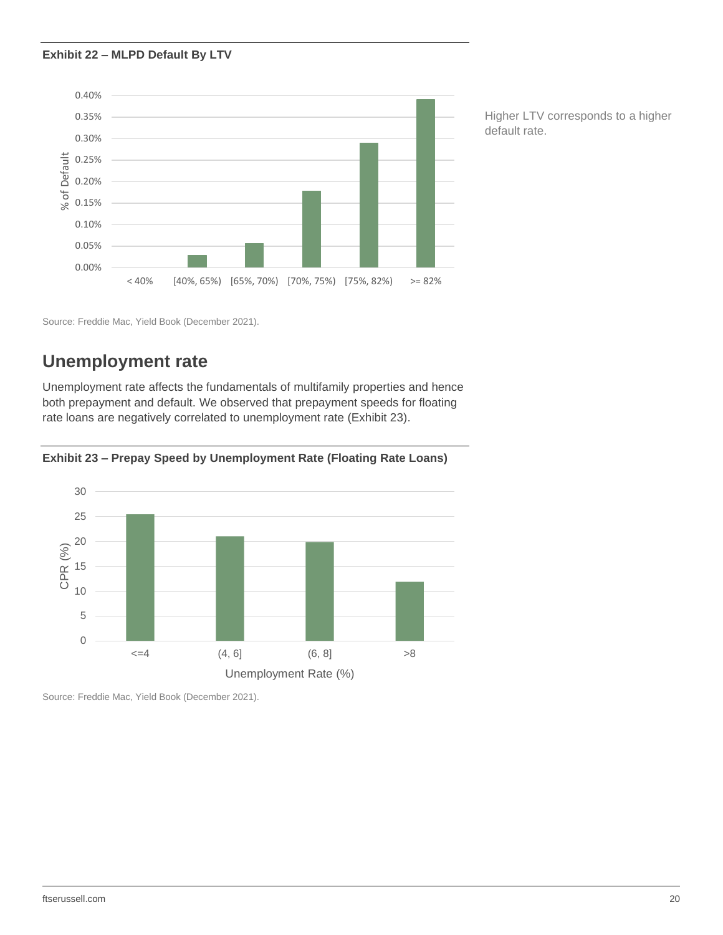#### **Exhibit 22 – MLPD Default By LTV**



Higher LTV corresponds to a higher default rate.

Source: Freddie Mac, Yield Book (December 2021).

### <span id="page-19-0"></span>**Unemployment rate**

Unemployment rate affects the fundamentals of multifamily properties and hence both prepayment and default. We observed that prepayment speeds for floating rate loans are negatively correlated to unemployment rate (Exhibit 23).



**Exhibit 23 – Prepay Speed by Unemployment Rate (Floating Rate Loans)**

Source: Freddie Mac, Yield Book (December 2021).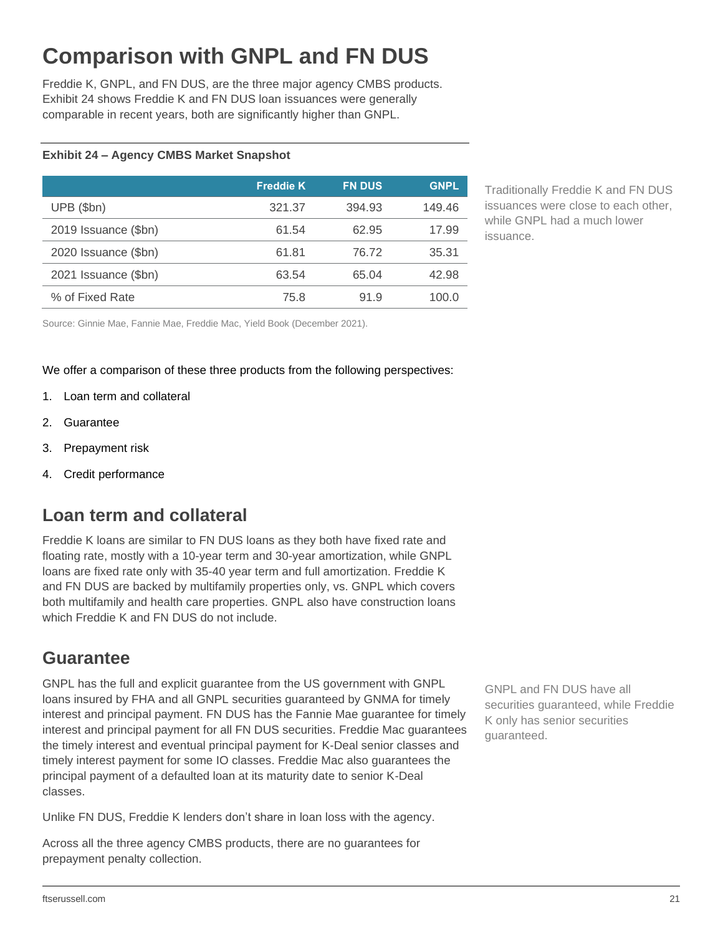## <span id="page-20-0"></span>**Comparison with GNPL and FN DUS**

Freddie K, GNPL, and FN DUS, are the three major agency CMBS products. Exhibit 24 shows Freddie K and FN DUS loan issuances were generally comparable in recent years, both are significantly higher than GNPL.

### **Exhibit 24 – Agency CMBS Market Snapshot**

|                      | <b>Freddie K</b> | <b>FN DUS</b> | <b>GNPL</b> |
|----------------------|------------------|---------------|-------------|
| $UPB$ (\$bn)         | 321.37           | 394.93        | 149.46      |
| 2019 Issuance (\$bn) | 61.54            | 62.95         | 17.99       |
| 2020 Issuance (\$bn) | 61.81            | 76.72         | 35.31       |
| 2021 Issuance (\$bn) | 63.54            | 65.04         | 42.98       |
| % of Fixed Rate      | 75.8             | 91.9          | 100.0       |

Traditionally Freddie K and FN DUS issuances were close to each other, while GNPL had a much lower issuance.

Source: Ginnie Mae, Fannie Mae, Freddie Mac, Yield Book (December 2021).

We offer a comparison of these three products from the following perspectives:

- 1. Loan term and collateral
- 2. Guarantee
- 3. Prepayment risk
- 4. Credit performance

### <span id="page-20-1"></span>**Loan term and collateral**

Freddie K loans are similar to FN DUS loans as they both have fixed rate and floating rate, mostly with a 10-year term and 30-year amortization, while GNPL loans are fixed rate only with 35-40 year term and full amortization. Freddie K and FN DUS are backed by multifamily properties only, vs. GNPL which covers both multifamily and health care properties. GNPL also have construction loans which Freddie K and FN DUS do not include.

### <span id="page-20-2"></span>**Guarantee**

GNPL has the full and explicit guarantee from the US government with GNPL loans insured by FHA and all GNPL securities guaranteed by GNMA for timely interest and principal payment. FN DUS has the Fannie Mae guarantee for timely interest and principal payment for all FN DUS securities. Freddie Mac guarantees the timely interest and eventual principal payment for K-Deal senior classes and timely interest payment for some IO classes. Freddie Mac also guarantees the principal payment of a defaulted loan at its maturity date to senior K-Deal classes.

Unlike FN DUS, Freddie K lenders don't share in loan loss with the agency.

Across all the three agency CMBS products, there are no guarantees for prepayment penalty collection.

GNPL and FN DUS have all securities guaranteed, while Freddie K only has senior securities guaranteed.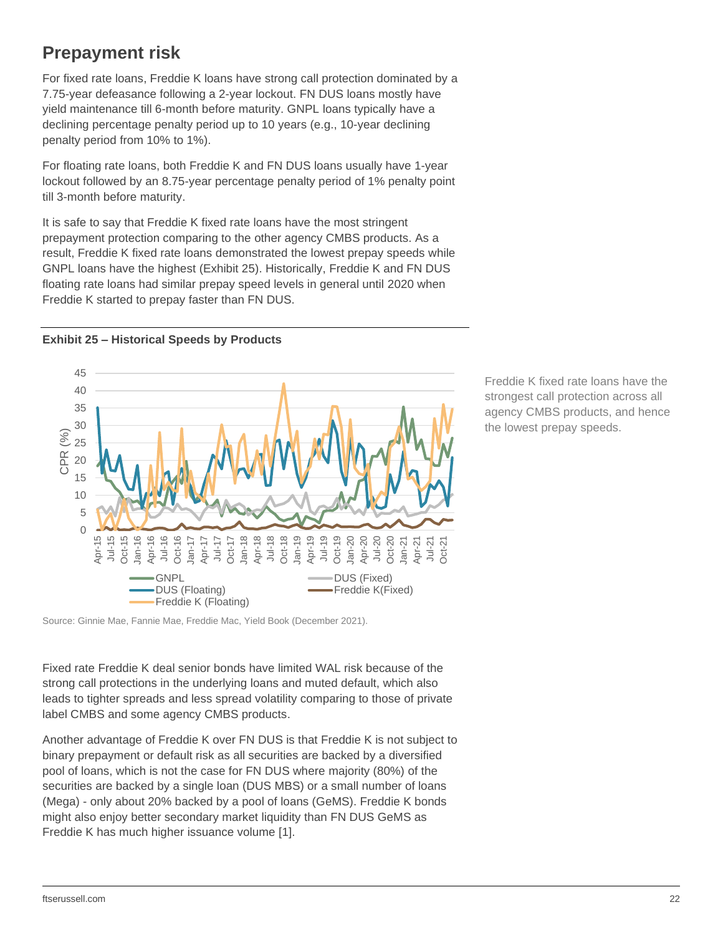### <span id="page-21-0"></span>**Prepayment risk**

For fixed rate loans, Freddie K loans have strong call protection dominated by a 7.75-year defeasance following a 2-year lockout. FN DUS loans mostly have yield maintenance till 6-month before maturity. GNPL loans typically have a declining percentage penalty period up to 10 years (e.g., 10-year declining penalty period from 10% to 1%).

For floating rate loans, both Freddie K and FN DUS loans usually have 1-year lockout followed by an 8.75-year percentage penalty period of 1% penalty point till 3-month before maturity.

It is safe to say that Freddie K fixed rate loans have the most stringent prepayment protection comparing to the other agency CMBS products. As a result, Freddie K fixed rate loans demonstrated the lowest prepay speeds while GNPL loans have the highest (Exhibit 25). Historically, Freddie K and FN DUS floating rate loans had similar prepay speed levels in general until 2020 when Freddie K started to prepay faster than FN DUS.



**Exhibit 25 – Historical Speeds by Products**

Source: Ginnie Mae, Fannie Mae, Freddie Mac, Yield Book (December 2021).

Fixed rate Freddie K deal senior bonds have limited WAL risk because of the strong call protections in the underlying loans and muted default, which also leads to tighter spreads and less spread volatility comparing to those of private label CMBS and some agency CMBS products.

Another advantage of Freddie K over FN DUS is that Freddie K is not subject to binary prepayment or default risk as all securities are backed by a diversified pool of loans, which is not the case for FN DUS where majority (80%) of the securities are backed by a single loan (DUS MBS) or a small number of loans (Mega) - only about 20% backed by a pool of loans (GeMS). Freddie K bonds might also enjoy better secondary market liquidity than FN DUS GeMS as Freddie K has much higher issuance volume [1].

Freddie K fixed rate loans have the strongest call protection across all agency CMBS products, and hence the lowest prepay speeds.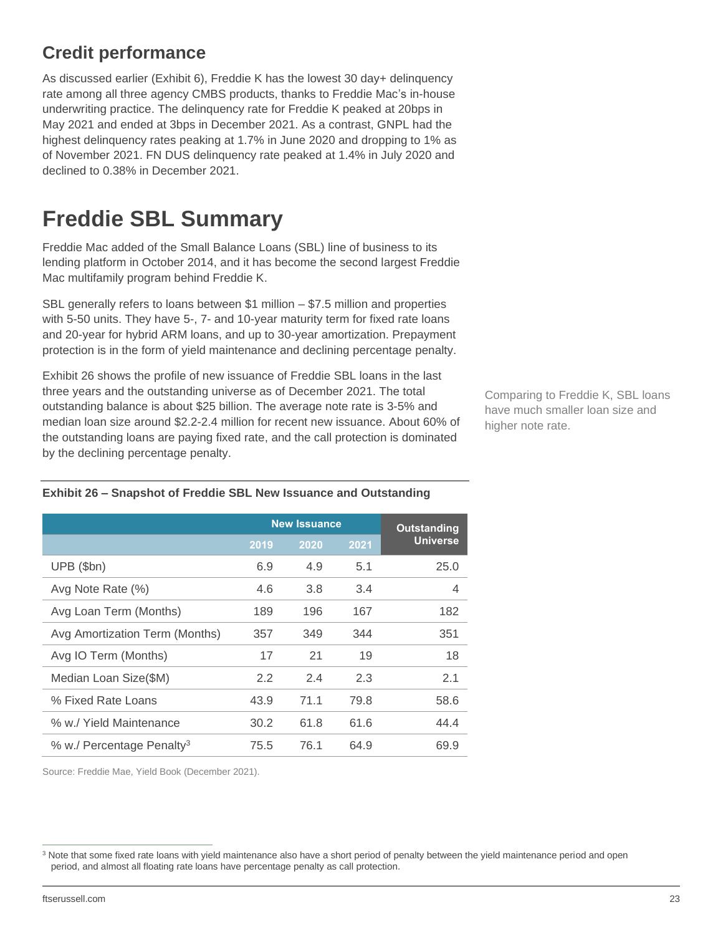### <span id="page-22-0"></span>**Credit performance**

As discussed earlier (Exhibit 6), Freddie K has the lowest 30 day+ delinquency rate among all three agency CMBS products, thanks to Freddie Mac's in-house underwriting practice. The delinquency rate for Freddie K peaked at 20bps in May 2021 and ended at 3bps in December 2021. As a contrast, GNPL had the highest delinquency rates peaking at 1.7% in June 2020 and dropping to 1% as of November 2021. FN DUS delinquency rate peaked at 1.4% in July 2020 and declined to 0.38% in December 2021.

## <span id="page-22-1"></span>**Freddie SBL Summary**

Freddie Mac added of the Small Balance Loans (SBL) line of business to its lending platform in October 2014, and it has become the second largest Freddie Mac multifamily program behind Freddie K.

SBL generally refers to loans between \$1 million – \$7.5 million and properties with 5-50 units. They have 5-, 7- and 10-year maturity term for fixed rate loans and 20-year for hybrid ARM loans, and up to 30-year amortization. Prepayment protection is in the form of yield maintenance and declining percentage penalty.

Exhibit 26 shows the profile of new issuance of Freddie SBL loans in the last three years and the outstanding universe as of December 2021. The total outstanding balance is about \$25 billion. The average note rate is 3-5% and median loan size around \$2.2-2.4 million for recent new issuance. About 60% of the outstanding loans are paying fixed rate, and the call protection is dominated by the declining percentage penalty.

Comparing to Freddie K, SBL loans have much smaller loan size and higher note rate.

|                                       | <b>Outstanding</b> |      |      |                 |
|---------------------------------------|--------------------|------|------|-----------------|
|                                       | 2019               | 2020 | 2021 | <b>Universe</b> |
| $UPB$ (\$bn)                          | 6.9                | 4.9  | 5.1  | 25.0            |
| Avg Note Rate (%)                     | 4.6                | 3.8  | 3.4  | 4               |
| Avg Loan Term (Months)                | 189                | 196  | 167  | 182             |
| Avg Amortization Term (Months)        | 357                | 349  | 344  | 351             |
| Avg IO Term (Months)                  | 17                 | 21   | 19   | 18              |
| Median Loan Size(\$M)                 | 2.2                | 2.4  | 2.3  | 2.1             |
| % Fixed Rate Loans                    | 43.9               | 71.1 | 79.8 | 58.6            |
| % w./ Yield Maintenance               | 30.2               | 61.8 | 61.6 | 44.4            |
| % w./ Percentage Penalty <sup>3</sup> | 75.5               | 76.1 | 64.9 | 69.9            |

#### **Exhibit 26 – Snapshot of Freddie SBL New Issuance and Outstanding**

Source: Freddie Mae, Yield Book (December 2021).

<sup>&</sup>lt;sup>3</sup> Note that some fixed rate loans with yield maintenance also have a short period of penalty between the yield maintenance period and open period, and almost all floating rate loans have percentage penalty as call protection.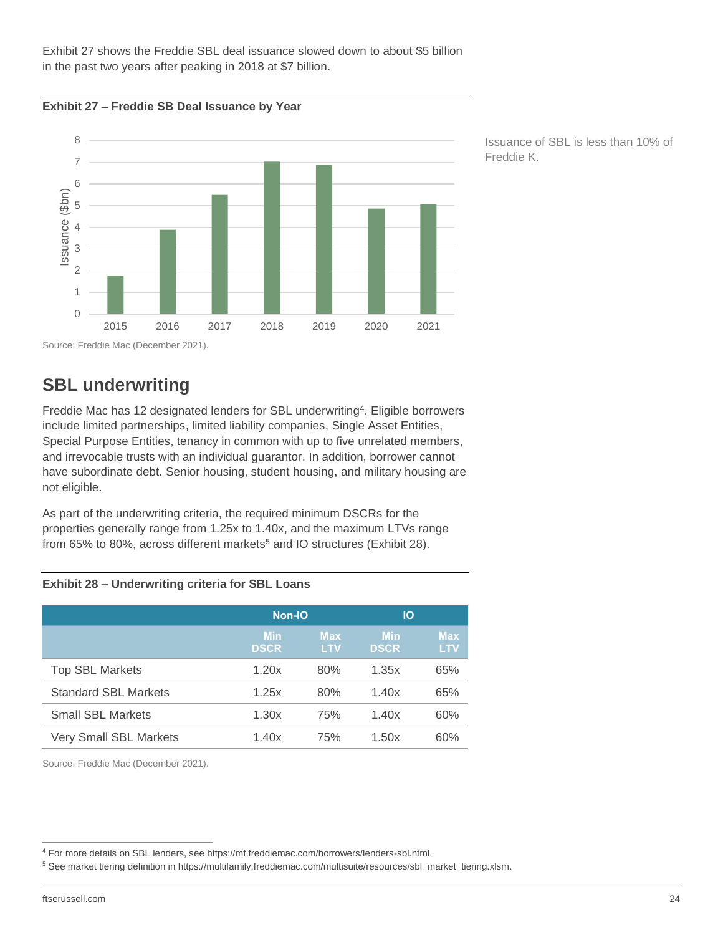Exhibit 27 shows the Freddie SBL deal issuance slowed down to about \$5 billion in the past two years after peaking in 2018 at \$7 billion.





Issuance of SBL is less than 10% of Freddie K.

### <span id="page-23-0"></span>**SBL underwriting**

Freddie Mac has 12 designated lenders for SBL underwriting<sup>4</sup>. Eligible borrowers include limited partnerships, limited liability companies, Single Asset Entities, Special Purpose Entities, tenancy in common with up to five unrelated members, and irrevocable trusts with an individual guarantor. In addition, borrower cannot have subordinate debt. Senior housing, student housing, and military housing are not eligible.

As part of the underwriting criteria, the required minimum DSCRs for the properties generally range from 1.25x to 1.40x, and the maximum LTVs range from 65% to 80%, across different markets<sup>5</sup> and IO structures (Exhibit 28).

#### **Exhibit 28 – Underwriting criteria for SBL Loans**

|                               | <b>Non-IO</b>             |                          | IО                        |                          |  |
|-------------------------------|---------------------------|--------------------------|---------------------------|--------------------------|--|
|                               | <b>Min</b><br><b>DSCR</b> | <b>Max</b><br><b>LTV</b> | <b>Min</b><br><b>DSCR</b> | <b>Max</b><br><b>LTV</b> |  |
| <b>Top SBL Markets</b>        | 1.20x                     | 80%                      | 1.35x                     | 65%                      |  |
| <b>Standard SBL Markets</b>   | 1.25x                     | 80%                      | 1.40x                     | 65%                      |  |
| <b>Small SBL Markets</b>      | 1.30x                     | 75%                      | 1.40x                     | 60%                      |  |
| <b>Very Small SBL Markets</b> | 1.40x                     | 75%                      | 1.50x                     | 60%                      |  |

Source: Freddie Mac (December 2021).

<sup>4</sup> For more details on SBL lenders, see https://mf.freddiemac.com/borrowers/lenders-sbl.html.

<sup>5</sup> See market tiering definition in https://multifamily.freddiemac.com/multisuite/resources/sbl\_market\_tiering.xlsm.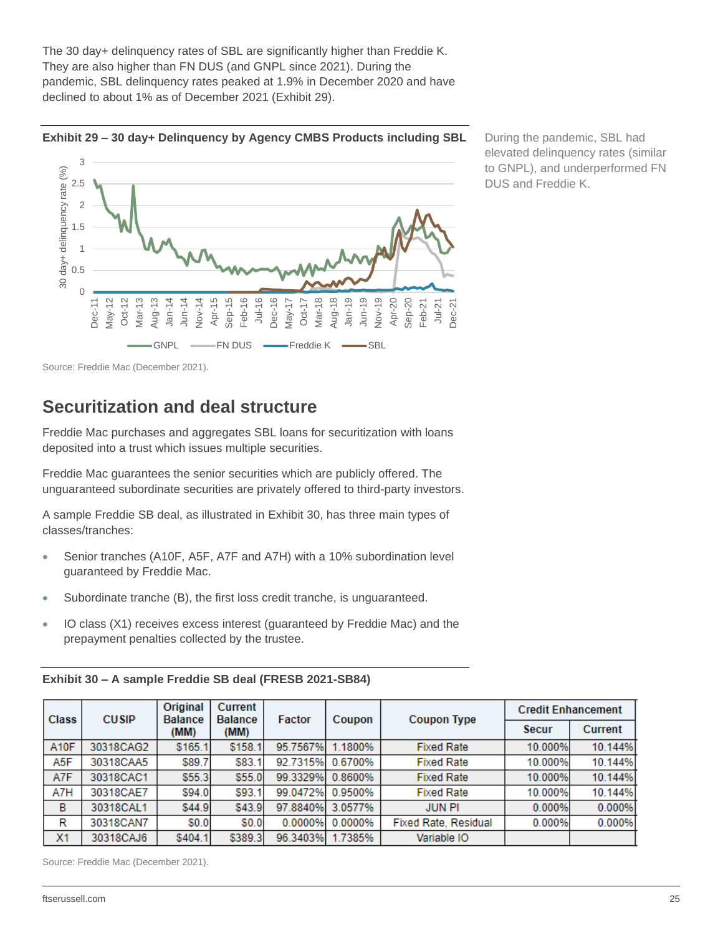The 30 day+ delinquency rates of SBL are significantly higher than Freddie K. They are also higher than FN DUS (and GNPL since 2021). During the pandemic, SBL delinquency rates peaked at 1.9% in December 2020 and have declined to about 1% as of December 2021 (Exhibit 29).



**Exhibit 29 – 30 day+ Delinquency by Agency CMBS Products including SBL**

During the pandemic, SBL had elevated delinquency rates (similar to GNPL), and underperformed FN DUS and Freddie K.

<span id="page-24-0"></span>Source: Freddie Mac (December 2021).

### **Securitization and deal structure**

Freddie Mac purchases and aggregates SBL loans for securitization with loans deposited into a trust which issues multiple securities.

Freddie Mac guarantees the senior securities which are publicly offered. The unguaranteed subordinate securities are privately offered to third-party investors.

A sample Freddie SB deal, as illustrated in Exhibit 30, has three main types of classes/tranches:

- Senior tranches (A10F, A5F, A7F and A7H) with a 10% subordination level guaranteed by Freddie Mac.
- Subordinate tranche (B), the first loss credit tranche, is unguaranteed.
- IO class (X1) receives excess interest (guaranteed by Freddie Mac) and the prepayment penalties collected by the trustee.

| <b>Class</b>   | <b>CUSIP</b> | Original<br><b>Balance</b><br>(MM) | Current<br><b>Balance</b><br>(MM) | Factor   | Coupon           | <b>Coupon Type</b>          | <b>Credit Enhancement</b> |                |
|----------------|--------------|------------------------------------|-----------------------------------|----------|------------------|-----------------------------|---------------------------|----------------|
|                |              |                                    |                                   |          |                  |                             | <b>Secur</b>              | <b>Current</b> |
| <b>A10F</b>    | 30318CAG2    | \$165.1                            | \$158.1                           | 95.7567% | 1.1800%          | <b>Fixed Rate</b>           | 10.000%                   | 10.144%        |
| A5F            | 30318CAA5    | \$89.7                             | \$83.1                            | 92.7315% | 0.6700%          | <b>Fixed Rate</b>           | 10.000%                   | 10.144%        |
| A7F            | 30318CAC1    | \$55.3                             | \$55.0                            |          | 99.3329% 0.8600% | <b>Fixed Rate</b>           | 10.000%                   | 10.144%        |
| A7H            | 30318CAE7    | \$94.0                             | \$93.1                            | 99.0472% | 0.9500%          | <b>Fixed Rate</b>           | 10.000%                   | 10.144%        |
| в              | 30318CAL1    | \$44.9                             | \$43.9                            | 97.8840% | 3.0577%          | <b>JUN PI</b>               | 0.000%                    | 0.000%         |
| R              | 30318CAN7    | \$0.0                              | \$0.0                             | 0.0000%  | 0.0000%          | <b>Fixed Rate, Residual</b> | 0.000%                    | 0.000%         |
| X <sub>1</sub> | 30318CAJ6    | \$404.1                            | \$389.3                           | 96.3403% | 1.7385%          | Variable IO                 |                           |                |

**Exhibit 30 – A sample Freddie SB deal (FRESB 2021-SB84)**

Source: Freddie Mac (December 2021).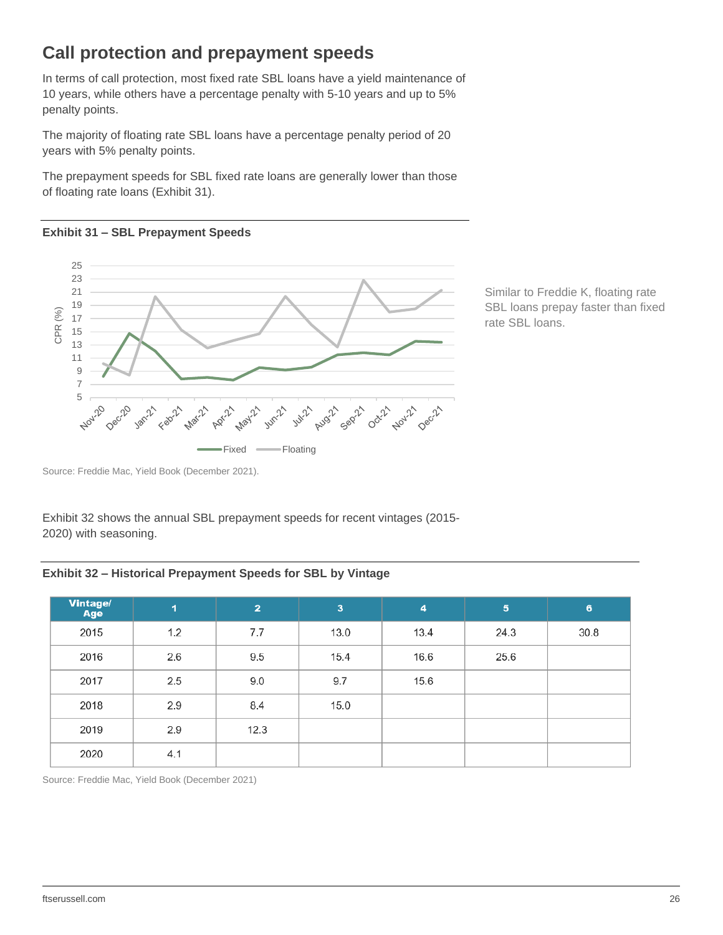### <span id="page-25-0"></span>**Call protection and prepayment speeds**

In terms of call protection, most fixed rate SBL loans have a yield maintenance of 10 years, while others have a percentage penalty with 5-10 years and up to 5% penalty points.

The majority of floating rate SBL loans have a percentage penalty period of 20 years with 5% penalty points.

The prepayment speeds for SBL fixed rate loans are generally lower than those of floating rate loans (Exhibit 31).

#### **Exhibit 31 – SBL Prepayment Speeds**



Similar to Freddie K, floating rate SBL loans prepay faster than fixed rate SBL loans.

Source: Freddie Mac, Yield Book (December 2021).

Exhibit 32 shows the annual SBL prepayment speeds for recent vintages (2015- 2020) with seasoning.

#### **Exhibit 32 – Historical Prepayment Speeds for SBL by Vintage**

| <b>Vintage/</b><br>Age | $\blacktriangleleft$ | 2    | $\overline{\mathbf{3}}$ | $\overline{4}$ | $\sqrt{5}$ | 6    |
|------------------------|----------------------|------|-------------------------|----------------|------------|------|
| 2015                   | 1.2                  | 7.7  | 13.0                    | 13.4           | 24.3       | 30.8 |
| 2016                   | 2.6                  | 9.5  | 15.4                    | 16.6           | 25.6       |      |
| 2017                   | 2.5                  | 9.0  | 9.7                     | 15.6           |            |      |
| 2018                   | 2.9                  | 8.4  | 15.0                    |                |            |      |
| 2019                   | 2.9                  | 12.3 |                         |                |            |      |
| 2020                   | 4.1                  |      |                         |                |            |      |

Source: Freddie Mac, Yield Book (December 2021)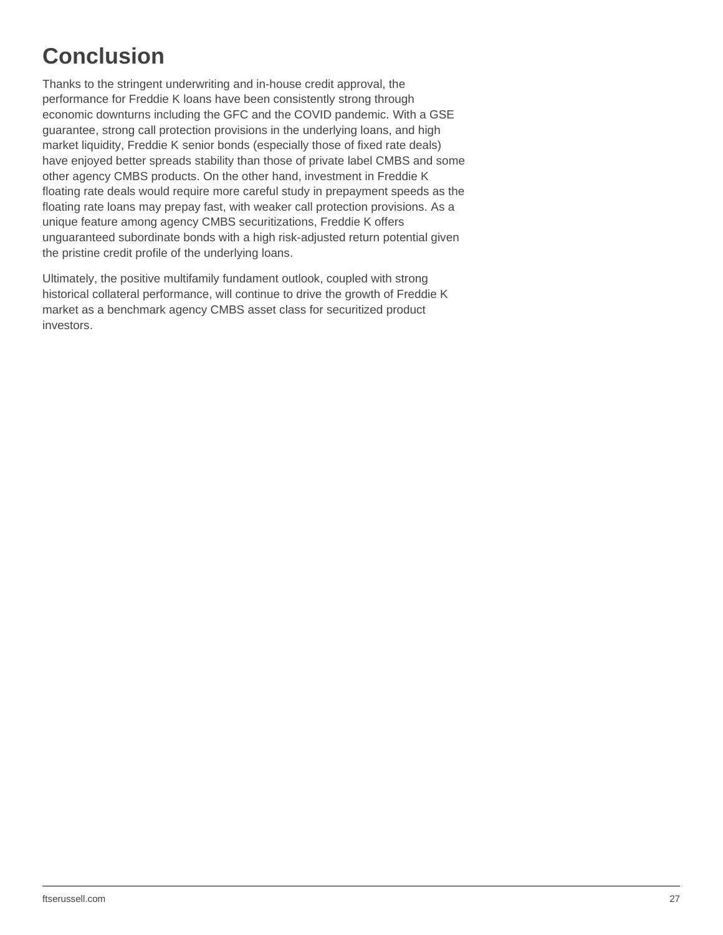## <span id="page-26-0"></span>**Conclusion**

Thanks to the stringent underwriting and in-house credit approval, the performance for Freddie K loans have been consistently strong through economic downturns including the GFC and the COVID pandemic. With a GSE guarantee, strong call protection provisions in the underlying loans, and high market liquidity, Freddie K senior bonds (especially those of fixed rate deals) have enjoyed better spreads stability than those of private label CMBS and some other agency CMBS products. On the other hand, investment in Freddie K floating rate deals would require more careful study in prepayment speeds as the floating rate loans may prepay fast, with weaker call protection provisions. As a unique feature among agency CMBS securitizations, Freddie K offers unguaranteed subordinate bonds with a high risk-adjusted return potential given the pristine credit profile of the underlying loans.

Ultimately, the positive multifamily fundament outlook, coupled with strong historical collateral performance, will continue to drive the growth of Freddie K market as a benchmark agency CMBS asset class for securitized product investors.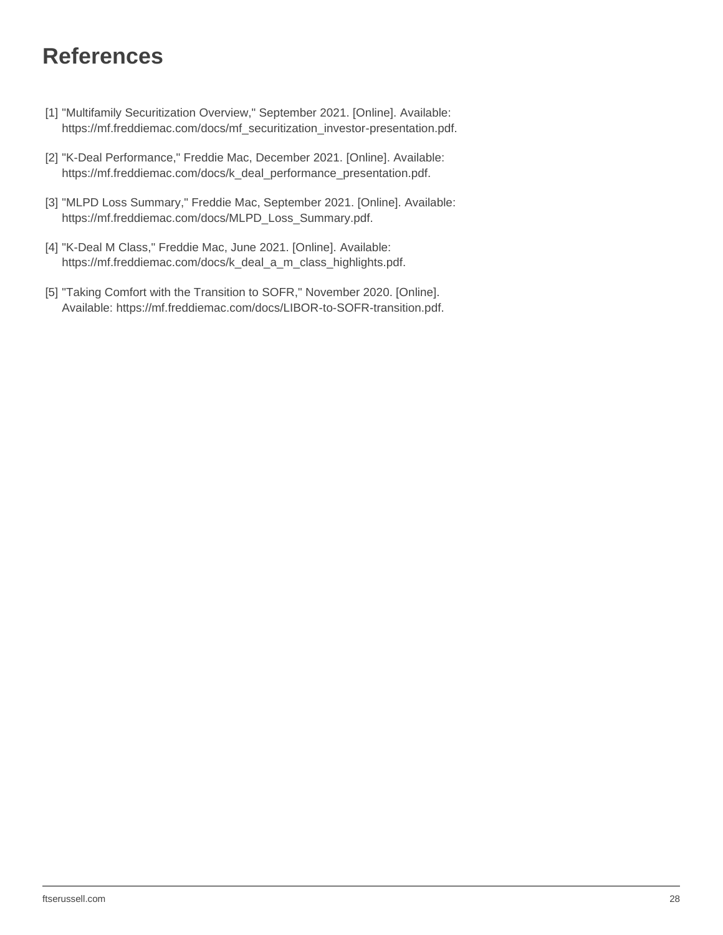## <span id="page-27-0"></span>**References**

- [1] "Multifamily Securitization Overview," September 2021. [Online]. Available: https://mf.freddiemac.com/docs/mf\_securitization\_investor-presentation.pdf.
- [2] "K-Deal Performance," Freddie Mac, December 2021. [Online]. Available: https://mf.freddiemac.com/docs/k\_deal\_performance\_presentation.pdf.
- [3] "MLPD Loss Summary," Freddie Mac, September 2021. [Online]. Available: https://mf.freddiemac.com/docs/MLPD\_Loss\_Summary.pdf.
- [4] "K-Deal M Class," Freddie Mac, June 2021. [Online]. Available: https://mf.freddiemac.com/docs/k\_deal\_a\_m\_class\_highlights.pdf.
- [5] "Taking Comfort with the Transition to SOFR," November 2020. [Online]. Available: https://mf.freddiemac.com/docs/LIBOR-to-SOFR-transition.pdf.